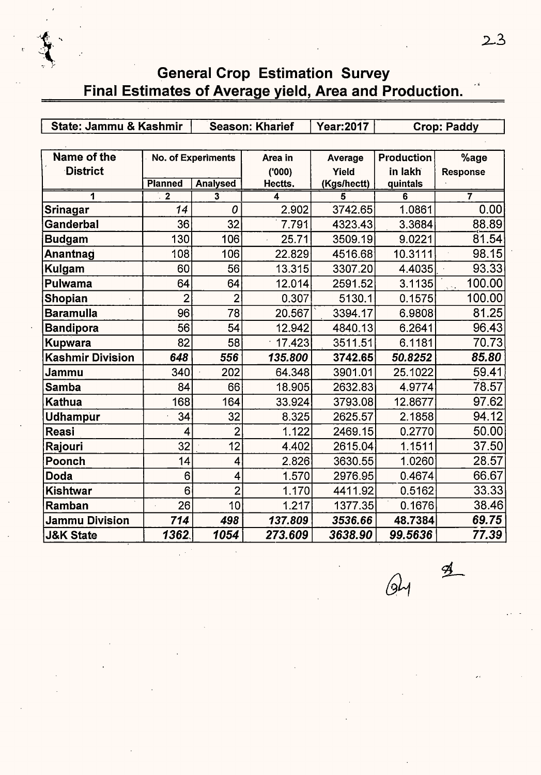# **General Crop Estimation Survey** Final Estimates of Average yield, Area and Production.

| State: Jammu & Kashmir  |                |                           | <b>Season: Kharief</b> | <b>Year:2017</b> |            | <b>Crop: Paddy</b>                    |
|-------------------------|----------------|---------------------------|------------------------|------------------|------------|---------------------------------------|
|                         |                |                           |                        |                  |            |                                       |
| Name of the             |                | <b>No. of Experiments</b> | Area in                | Average          | Production | %age                                  |
| <b>District</b>         |                |                           | (000)                  | Yield            | in lakh    | <b>Response</b>                       |
|                         | <b>Planned</b> | <b>Analysed</b>           | Hectts.                | (Kgs/hectt)      | quintals   |                                       |
| 1                       | $\overline{2}$ | $\overline{\mathbf{3}}$   | 4                      | 5                | 6          | 7                                     |
| Srinagar                | 14             | 0                         | 2.902                  | 3742.65          | 1.0861     | 0.00                                  |
| Ganderbal               | 36             | 32                        | 7.791                  | 4323.43          | 3.3684     | 88.89                                 |
| <b>Budgam</b>           | 130            | 106                       | 25.71                  | 3509.19          | 9.0221     | 81.54                                 |
| Anantnag                | 108            | 106                       | 22.829                 | 4516.68          | 10.3111    | 98.15                                 |
| Kulgam                  | 60             | 56                        | 13.315                 | 3307.20          | 4.4035     | 93.33                                 |
| Pulwama                 | 64             | 64                        | 12.014                 | 2591.52          | 3.1135     | 100.00<br>$\sqrt{\lambda_{\rm{B}}^2}$ |
| <b>Shopian</b>          | $\overline{2}$ | $\overline{2}$            | 0.307                  | 5130.1           | 0.1575     | 100.00                                |
| <b>Baramulla</b>        | 96             | 78                        | 20.567                 | 3394.17          | 6.9808     | 81.25                                 |
| <b>Bandipora</b>        | 56             | 54                        | 12.942                 | 4840.13          | 6.2641     | 96.43                                 |
| <b>Kupwara</b>          | 82             | 58                        | 17.423                 | 3511.51          | 6.1181     | 70.73                                 |
| <b>Kashmir Division</b> | 648            | 556                       | 135.800                | 3742.65          | 50.8252    | 85.80                                 |
| Jammu                   | 340            | 202                       | 64.348                 | 3901.01          | 25.1022    | 59.41                                 |
| <b>Samba</b>            | 84             | 66                        | 18.905                 | 2632.83          | 4.9774     | 78.57                                 |
| <b>Kathua</b>           | 168            | 164                       | 33.924                 | 3793.08          | 12.8677    | 97.62                                 |
| <b>Udhampur</b>         | 34             | 32                        | 8.325                  | 2625.57          | 2.1858     | 94.12                                 |
| <b>Reasi</b>            | 4              | $\overline{2}$            | 1.122                  | 2469.15          | 0.2770     | 50.00                                 |
| Rajouri                 | 32             | 12                        | 4.402                  | 2615.04          | 1.1511     | 37.50                                 |
| Poonch                  | 14             | 4                         | 2.826                  | 3630.55          | 1.0260     | 28.57                                 |
| <b>Doda</b>             | 6              | 4                         | 1.570                  | 2976.95          | 0.4674     | 66.67                                 |
| Kishtwar                | 6              | $\overline{2}$            | 1.170                  | 4411.92          | 0.5162     | 33.33                                 |
| Ramban                  | 26             | 10                        | 1.217                  | 1377.35          | 0.1676     | 38.46                                 |
| <b>Jammu Division</b>   | 714            | 498                       | 137.809                | 3536.66          | 48.7384    | 69.75                                 |
| <b>J&amp;K State</b>    | 1362           | 1054                      | 273.609                | 3638.90          | 99.5636    | 77.39                                 |

 $64 \frac{9}{2}$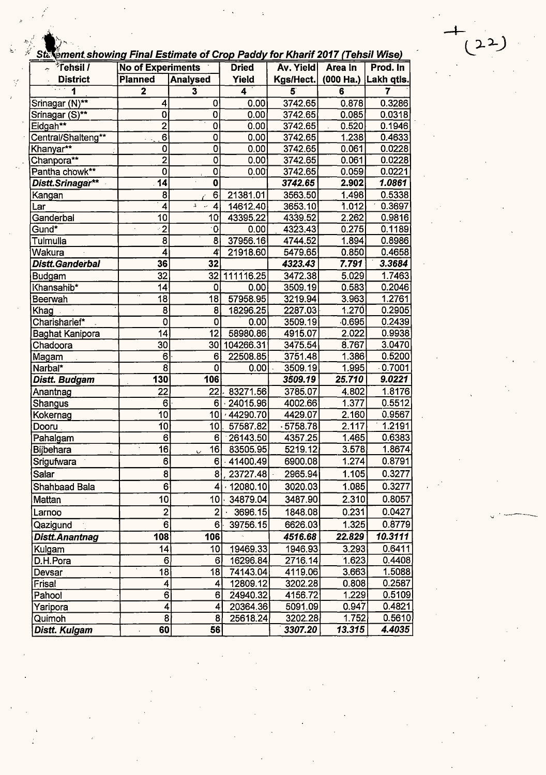## ment showing Final Estimate of Crop Paddy for Kharif 2017 (Tehsil Wise)

| <sup>≯</sup> Tehsil /<br>÷ | <b>No of Experiments</b> |                         | <b>Dried</b> | <b>Av. Yield</b>        | Area In                 | Prod. In       |
|----------------------------|--------------------------|-------------------------|--------------|-------------------------|-------------------------|----------------|
| <b>District</b>            | <b>Planned</b>           | <b>Analysed</b>         | Yield        | Kgs/Hect.               | (000 Ha.)               | Lakh qtls.     |
| $\Box$ .<br>1              | $\overline{\mathbf{2}}$  | $\overline{\mathbf{3}}$ | 4            | $\overline{\mathbf{5}}$ | $\overline{\mathbf{6}}$ | $\overline{7}$ |
| Srinagar (N)**             | 4                        | 0                       | 0.00         | 3742.65                 | 0.878                   | 0.3286         |
| Srinagar (S)**             | 0                        | 0                       | 0.00         | 3742.65                 | 0.085                   | 0.0318         |
| Eidgah**                   | $\overline{2}$           | $\overline{0}$          | 0.00         | 3742.65                 | 0.520                   | 0.1946         |
| Central/Shalteng**         | $6\phantom{a}$           | $\overline{0}$          | 0.00         | 3742.65                 | 1.238                   | 0.4633         |
| Khanyar**                  | 0                        | $\overline{\mathbf{0}}$ | 0.00         | 3742.65                 | 0.061                   | 0.0228         |
| Chanpora**                 | $\overline{2}$           | 0                       | 0.00         | 3742.65                 | 0.061                   | 0.0228         |
| Pantha chowk**             | 0                        | $\overline{0}$          | 0.00         | 3742.65                 | 0.059                   | 0.0221         |
| Distt.Srinagar**           | 14                       | $\overline{\mathbf{0}}$ |              | 3742.65                 | 2.902                   | 1.0861         |
| <u>Kangan</u>              | $\overline{\mathbf{8}}$  | $\overline{6}$          | 21381.01     | 3563.50                 | 1.498                   | 0.5338         |
| Lar                        | 4                        | $\mathfrak{g}$<br>4     | 14612.40     | 3653.10                 | 1.012                   | 0.3697         |
| Ganderbal                  | 10                       | 10                      | 43395.22     | 4339.52                 | 2.262                   | 0.9816         |
| Gund <sup>*</sup>          | $\overline{\cdot 2}$     | $\mathbf 0$             | 0.00         | 4323.43                 | 0.275                   | 0.1189         |
| Tulmulla                   | 8                        | 8                       | 37956.16     | 4744.52                 | 1.894                   | 0.8986         |
| Wakura                     | $\overline{\bf{4}}$      | 4                       | 21918.60     | 5479.65                 | 0.850                   | 0.4658         |
| Distt.Ganderbal            | 36                       | 32                      |              | 4323.43                 | 7.791                   | 3.3684         |
| <b>Budgam</b>              | 32                       | 32                      | 111116.25    | 3472.38                 | 5.029                   | 1.7463         |
| Khansahib*                 | 14                       | $\mathbf 0$             | 0.00         | 3509.19                 | 0.583                   | 0.2046         |
| Beerwah                    | 18                       | 18                      | 57958.95     | 3219.94                 | 3.963                   | 1.2761         |
| Khag                       | 8                        | 8                       | 18296.25     | 2287.03                 | 1.270                   | 0.2905         |
| Charisharief*              | 0                        | 0                       | 0.00         | 3509.19                 | 0.695                   | 0.2439         |
| Baghat Kanipora            | $\overline{14}$          | 12                      | 58980.86     | 4915.07                 | 2.022                   | 0.9938         |
| Chadoora                   | 30                       | 30                      | 104266.31    | 3475.54                 | 8.767                   | 3.0470         |
| Magam                      | 6                        | 6                       | 22508.85     | 3751.48                 | 1.386                   | 0.5200         |
| Narbal*                    | $\overline{8}$           | 0                       | 0.00         | 3509.19                 | 1.995                   | 0.7001         |
| Distt. Budgam              | 130                      | 106                     |              | 3509.19                 | 25.710                  | 9.0221         |
| Anantnag                   | $\overline{22}$          | $\overline{22}$         | 83271.56     | 3785.07                 | 4.802                   | 1.8176         |
| Shangus                    | 6                        | 6                       | $-24015.96$  | 4002.66                 | 1.377                   | 0.5512         |
| Kokernag                   | 10                       | 10                      | 44290.70     | 4429.07                 | 2.160                   | 0.9567         |
| Dooru                      | $\overline{10}$          | 10                      | 57587.82     | .5758.78                | 2.117                   | 1.2191         |
| Pahalgam                   | 6                        | 6                       | 26143.50     | 4357.25                 | 1.465                   | 0.6383         |
| Bijbehara                  | 16                       | 16<br>U                 | 83505.95     | 5219.12                 | 3.578                   | 1.8674         |
| Srigufwara                 | $\overline{6}$           | 6                       | 41400.49     | 6900.08                 | 1.274                   | 0.8791         |
| Salar                      | 8                        | 8.                      | 23727.48     | 2965.94                 | 1.105                   | 0.3277         |
| Shahbaad Bala              | $6^{\circ}$              | $\vert$                 | .12080.10    | 3020.03                 | 1.085                   | 0.3277         |
| Mattan                     | 10                       | 10 <sub>l</sub>         | 34879.04     | 3487.90                 | 2.310                   | 0.8057         |
| Larnoo                     | $\overline{2}$           | 2 <sub>l</sub>          | 3696.15      | 1848.08                 | 0.231                   | 0.0427         |
| Qazigund                   | 6                        | 6                       | 39756.15     | 6626.03                 | 1.325                   | 0.8779         |
| Distt. Anantnag            | 108                      | 106                     |              | 4516.68                 | 22.829                  | 10.3111        |
| Kulgam                     | 14                       | 10                      | 19469.33     | 1946.93                 | 3.293                   | 0.6411         |
| D.H.Pora                   | 6                        | 6                       | 16296.84     | 2716.14                 | 1.623                   | 0.4408         |
| Devsar                     | 18                       | 18                      | 74143.04     | 4119.06                 | 3.663                   | 1.5088         |
| Frisal                     | 4                        | 4                       | 12809.12     | 3202.28                 | 0.808                   | 0.2587         |
| Pahool                     | $6 \overline{6}$         | 6                       | 24940.32     | 4156.72                 | 1.229                   | 0.5109         |
| Yaripora                   | 4                        | 4                       | 20364.36     | 5091.09                 | 0.947                   | 0.4821         |
| Quimoh                     | 8                        | 8                       | 25618.24     | 3202.28                 | 1.752                   | 0.5610         |
| Distt. Kulgam              | 60                       | 56                      |              | 3307.20                 | 13.315                  | 4.4035         |

 $22)$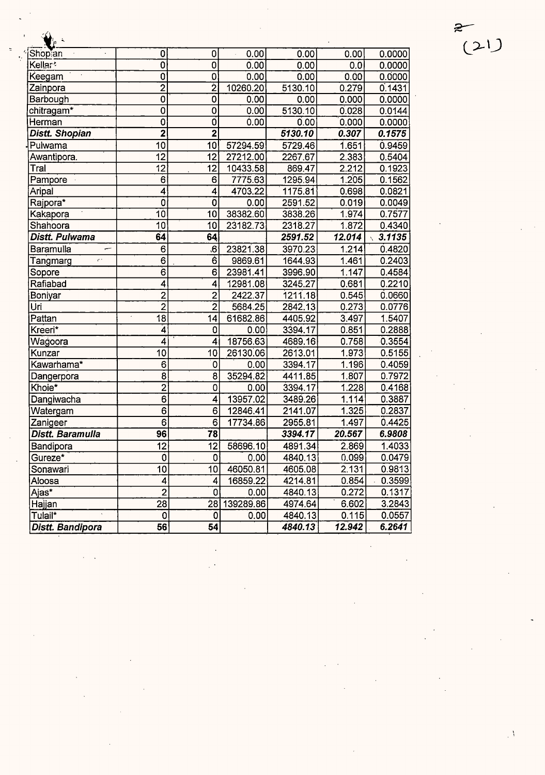| $\bigvee_p$<br>$\ddot{\phantom{1}}$ |                           |                   |           |         |        |        |
|-------------------------------------|---------------------------|-------------------|-----------|---------|--------|--------|
| Shop an                             | $\overline{\mathbf{0}}$   | 0                 | 0.00      | 0.00    | 0.00   | 0.0000 |
| Kellar*                             | $\overline{\mathfrak{o}}$ | $\overline{0}$    | 0.00      | 0.00    | 0.0    | 0.0000 |
| Keegam                              | $\overline{0}$            | 0                 | 0.00      | 0.00    | 0.00   | 0.0000 |
| Zainpora                            | $\overline{2}$            | $\overline{2}$    | 10260.20  | 5130.10 | 0.279  | 0.1431 |
| Barbough                            | 0                         | $\overline{0}$    | 0.00      | 0.00    | 0.000  | 0.0000 |
| chitragam*                          | $\overline{0}$            | 0                 | 0.00      | 5130.10 | 0.028  | 0.0144 |
| Herman                              | 0                         | o                 | 0.00      | 0.00    | 0.000  | 0.0000 |
| Distt. Shopian                      | $\overline{\mathbf{2}}$   | $\overline{2}$    |           | 5130.10 | 0.307  | 0.1575 |
| Pulwama                             | 10                        | 10                | 57294.59  | 5729.46 | 1.651  | 0.9459 |
| Awantipora.                         | $\overline{12}$           | $\overline{12}$   | 27212.00  | 2267.67 | 2.383  | 0.5404 |
| Tral                                | $\overline{12}$           | 12                | 10433.58  | 869.47  | 2.212  | 0.1923 |
| Pampore                             | 6                         | 6                 | 7775.63   | 1295.94 | 1.205  | 0.1562 |
| Aripal                              | $\overline{4}$            | 4                 | 4703.22   | 1175.81 | 0.698  | 0.0821 |
| Rajpora*                            | $\overline{\mathbf{0}}$   | 0                 | 0.00      | 2591.52 | 0.019  | 0.0049 |
| Kakapora                            | 10                        | 10                | 38382.60  | 3838.26 | 1.974  | 0.7577 |
| Shahoora                            | 10                        | 10                | 23182.73  | 2318.27 | 1.872  | 0.4340 |
| Distt. Pulwama                      | 64                        | 64                |           | 2591.52 | 12.014 | 3.1135 |
| Baramulla<br>سب                     | 6                         | $6^{\circ}$       | 23821.38  | 3970.23 | 1.214  | 0.4820 |
| Tangmarg<br>ç.                      | 6                         | 6                 | 9869.61   | 1644.93 | 1.461  | 0.2403 |
| Sopore                              | $\overline{6}$            | 6                 | 23981.41  | 3996.90 | 1.147  | 0.4584 |
| Rafiabad                            | 4                         | 4                 | 12981.08  | 3245.27 | 0.681  | 0.2210 |
| Boniyar                             | $\overline{2}$            | $\overline{2}$    | 2422.37   | 1211.18 | 0.545  | 0.0660 |
| Uri                                 | $\overline{2}$            | $\overline{2}$    | 5684.25   | 2842.13 | 0.273  | 0.0776 |
| Pattan                              | 18                        | 14                | 61682.86  | 4405.92 | 3.497  | 1.5407 |
| Kreeri*                             | 4                         | $\mathbf 0$       | 0.00      | 3394.17 | 0.851  | 0.2888 |
| Wagoora                             | 4                         | 4                 | 18756.63  | 4689.16 | 0.758  | 0.3554 |
| Kunzar                              | 10                        | 10                | 26130.06  | 2613.01 | 1.973  | 0.5155 |
| Kawarhama*                          | 6                         | $\overline{0}$    | 0.00      | 3394.17 | 1.196  | 0.4059 |
| Dangerpora                          | 8                         | 8                 | 35294.82  | 4411.85 | 1.807  | 0.7972 |
| Khoie*                              | $\overline{2}$            | 0                 | 0.00      | 3394.17 | 1.228  | 0.4168 |
| Dangiwacha                          | $\overline{6}$            | 4                 | 13957.02  | 3489.26 | 1.114  | 0.3887 |
| Watergam                            | $\overline{6}$            | 6                 | 12846.41  | 2141.07 | 1.325  | 0.2837 |
| Zanigeer                            | $\overline{6}$            | 6                 | 17734.86  | 2955.81 | 1.497  | 0.4425 |
| Distt. Baramulla                    | $\overline{96}$           | $\overline{78}$   |           | 3394.17 | 20.567 | 6.9808 |
| Bandipora                           | 12                        | $12 \overline{ }$ | 58696.10  | 4891.34 | 2.869  | 1.4033 |
| Gureze*                             | 0                         | 0                 | 0.00      | 4840.13 | 0.099  | 0.0479 |
| Sonawari                            | 10                        | 10                | 46050.81  | 4605.08 | 2.131  | 0.9813 |
| Aloosa                              | 4                         | 4                 | 16859.22  | 4214.81 | 0.854  | 0.3599 |
| Ajas*                               | $\overline{2}$            | 0                 | 0.00      | 4840.13 | 0.272  | 0.1317 |
| Hajjan                              | 28                        | $28^{\circ}$      | 139289.86 | 4974.64 | 6.602  | 3.2843 |
| Tulail*                             | 0                         | 0                 | 0.00      | 4840.13 | 0.115  | 0.0557 |
| Distt. Bandipora                    | 56                        | 54                |           | 4840.13 | 12.942 | 6.2641 |

 $rac{2}{(21)}$ 

 $\ddot{\phantom{0}}$ 

 $\bar{\Lambda}$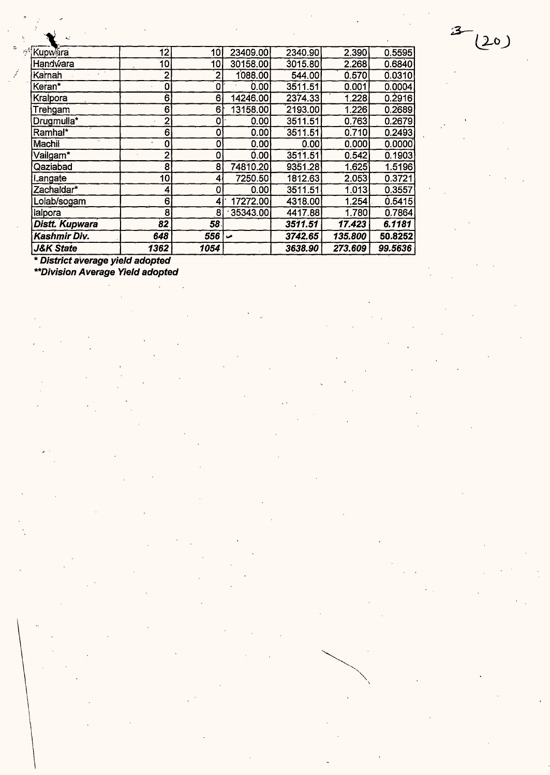| <b>J&amp;K State</b> | 1362              | 1054           |          | 3638.90 | 273.609 | 99.5636 |
|----------------------|-------------------|----------------|----------|---------|---------|---------|
| Kashmir Div.         | 648               | 556            | مما      | 3742.65 | 135.800 | 50.8252 |
| Distt. Kupwara       | $\boldsymbol{82}$ | 58             |          | 3511.51 | 17.423  | 6.1181  |
| lalpora              | 8                 | 8              | 35343.00 | 4417.88 | 1.780   | 0.7864  |
| Lolab/sogam          | 6                 | 4              | 17272.00 | 4318.00 | 1.254   | 0.5415  |
| Zachaldar*           | 4                 | 0              | 0.00     | 3511.51 | 1.013   | 0.3557  |
| Langate              | 10                | 4              | 7250.50  | 1812.63 | 2.053   | 0.3721  |
| Qaziabad             | 8                 | 8              | 74810.20 | 9351.28 | 1.625   | 1.5196  |
| Vailgam*             | $\overline{2}$    | 0              | 0.00     | 3511.51 | 0.542   | 0.1903  |
| Machil               | 0                 | 0              | 0.00     | 0.00    | 0.000   | 0.0000  |
| Ramhal*              | 6                 | 0              | 0.00     | 3511.51 | 0.710   | 0.2493  |
| Drugmulla*           | $\overline{2}$    | 0              | 0.00     | 3511.51 | 0.763   | 0.2679  |
| Trehgam              | 6                 | 6              | 13158.00 | 2193.00 | 1.226   | 0.2689  |
| Kralpora             | 6                 | 6              | 14246.00 | 2374.33 | 1.228   | 0.2916  |
| Keran*               | 0                 | 0              | 0.00     | 3511.51 | 0.001   | 0.0004  |
| Karnah               | $\overline{2}$    | $\overline{2}$ | 1088.00  | 544.00  | 0.570   | 0.0310  |
| Handwara             | 10                | 10             | 30158.00 | 3015.80 | 2.268   | 0.6840  |
| Kupwara              | 12                | 10             | 23409.00 | 2340.90 | 2.390   | 0.5595  |

 $3 - (20)$ 

\* **District average yield adopted** 

 $\ddot{\circ}$ 

Í

**\*\*Division Average Yield adopted**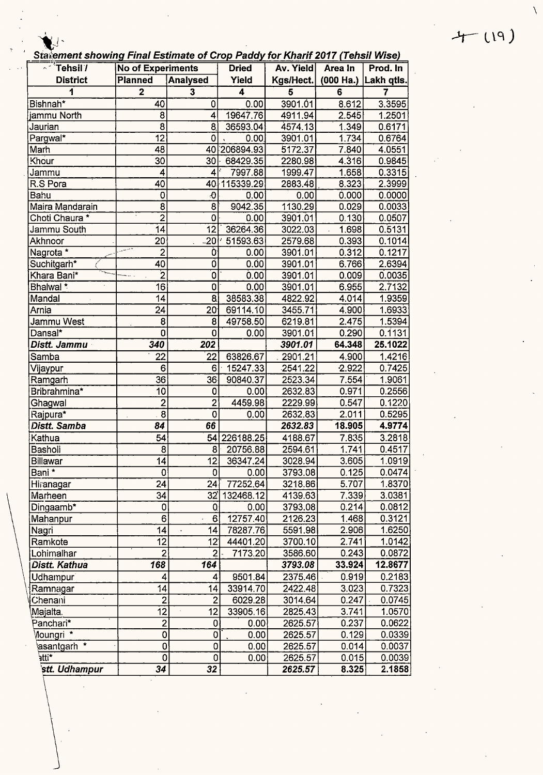$4 - 119)$ 

∖

Statement showing Final Estimate of Crop Paddy for Kharif 2017 (Tehsil Wise)

| $\overline{\phantom{a}}$ Tehsil $\overline{\phantom{a}}$ | <b>No of Experiments</b> |                           | <b>Dried</b> | Av. Yield | Area In   | Prod. In   |
|----------------------------------------------------------|--------------------------|---------------------------|--------------|-----------|-----------|------------|
| <b>District</b>                                          | <b>Planned</b>           | <b>Analysed</b>           | Yield        | Kgs/Hect. | (000 Ha.) | Lakh qtls. |
| 1                                                        | $\overline{2}$           | 3                         | 4            | 5         | 6         | 7          |
| Bishnah*                                                 | 40                       | 0                         | 0.00         | 3901.01   | 8.612     | 3.3595     |
| jammu North                                              | 8                        | 4                         | 19647.76     | 4911.94   | 2.545     | 1.2501     |
| Jaurian                                                  | 8                        | 8                         | 36593.04     | 4574.13   | 1.349     | 0.6171     |
| Pargwal*                                                 | $\overline{12}$          | 0                         | 0.00         | 3901.01   | 1.734     | 0.6764     |
| Marh                                                     | 48                       | 40                        | 206894.93    | 5172.37   | 7.840     | 4.0551     |
| Khour                                                    | $\overline{30}$          | $\overline{3}0$           | 68429.35     | 2280.98   | 4.316     | 0.9845     |
| Jammu                                                    | 4                        | 4                         | 7997.88      | 1999.47   | 1.658     | 0.3315     |
| R.S Pora                                                 | 40                       | 40                        | 115339.29    | 2883.48   | 8.323     | 2.3999     |
| Bahu                                                     | 0                        | $\ddot{\theta}$           | 0.00         | 0.00      | 0.000     | 0.0000     |
| Maira Mandarain                                          | $\overline{8}$           | 8                         | 9042.35      | 1130.29   | 0.029     | 0.0033     |
| Choti Chaura *                                           | $\overline{2}$           | 0                         | 0.00         | 3901.01   | 0.130     | 0.0507     |
| Jammu South                                              | $\overline{14}$          | 12                        | 36264.36     | 3022.03   | 1.698     | 0.5131     |
| Akhnoor                                                  | 20                       | $\overline{20}$           | 51593.63     | 2579.68   | 0.393     | 0.1014     |
| Nagrota <sup>*</sup>                                     | $\overline{2}$           | Ò                         | 0.00         | 3901.01   | 0.312     | 0.1217     |
| Suchitgarh*                                              | 40                       | Ö                         | 0.00         | 3901.01   | 6.766     | 2.6394     |
| Khara Bani*                                              | $\overline{2}$           | $\overline{\mathfrak{o}}$ | 0.00         | 3901.01   | 0.009     | 0.0035     |
| Bhalwal <sup>*</sup>                                     | 16                       | 0                         | 0.00         | 3901.01   | 6.955     | 2.7132     |
| Mandal                                                   | 14                       | $\overline{8}$            | 38583.38     | 4822.92   | 4.014     | 1.9359     |
| Arnia                                                    | $\dot{2}4$               | 20 <sub>o</sub>           | 69114.10     | 3455.71   | 4.900     | 1.6933     |
| Jammu West                                               | 8                        | 8                         | 49758.50     | 6219.81   | 2.475     | 1.5394     |
| Dansal*                                                  | 0                        | $\mathbf 0$               | 0.00         | 3901.01   | 0.290     | 0.1131     |
| Distt. Jammu                                             | 340                      | 202                       |              | 3901.01   | 64.348    | 25.1022    |
| Samba                                                    | 22                       | 22                        | 63826.67     | 2901.21   | 4.900     | 1.4216     |
| Vijaypur                                                 | 6                        | 6                         | 15247.33     | 2541.22   | 2.922     | 0.7425     |
| Ramgarh                                                  | 36                       | 36                        | 90840.37     | 2523.34   | 7.554     | 1.9061     |
| Bribrahmina*                                             | 10                       | 0                         | 0.00         | 2632.83   | 0.971     | 0.2556     |
| Ghagwal                                                  | $\overline{c}$           | $\overline{\mathbf{c}}$   | 4459.98      | 2229.99   | 0.547     | 0.1220     |
| Rajpura*                                                 | 8                        | 0                         | 0.00         | 2632.83   | 2.011     | 0.5295     |
| Distt. Samba                                             | 84                       | 66                        |              | 2632.83   | 18.905    | 4.9774     |
| Kathua                                                   | $\overline{5}4$          | 54                        | 226188.25    | 4188.67   | 7.835     | 3.2818     |
| Basholi                                                  | 8                        | 8                         | 20756.88     | 2594.61   | 1.741     | 0.4517     |
| <b>Billawar</b>                                          | 14                       | 12 <sub>1</sub>           | 36347.24     | 3028.94   | 3.605     | 1.0919     |
| Bani *                                                   | 0                        | 01                        | 0.00         | 3793.08   | 0.125     | 0.0474     |
| Hiranagar                                                | 24                       | 24                        | 77252.64     | 3218.86   | 5.707     | 1.8370     |
| Marheen                                                  | 34                       | 32'                       | 132468.12    | 4139.63   | 7.339     | 3.0381     |
| Dingaamb*                                                | 0                        | O.                        | 0.00         | 3793.08   | 0.214     | 0.0812     |
| Mahanpur                                                 | 6                        | 6                         | 12757.40     | 2126.23   | 1.468     | 0.3121     |
| Nagri                                                    | 14                       | 14                        | 78287.76     | 5591.98   | 2.906     | 1.6250     |
| Ramkote                                                  | $\overline{12}$          | 12 <sup>1</sup>           | 44401.20     | 3700.10   | 2.741     | 1.0142     |
| Lohimalhar                                               | $\overline{2}$           | $\overline{2}$            | 7173.20      | 3586.60   | 0.243     | 0.0872     |
| Distt. Kathua                                            | 168                      | 164                       |              | 3793.08   | 33.924    | 12.8677    |
| Udhampur                                                 | 4                        | 4                         | 9501.84      | 2375.46   | 0.919     | 0.2183     |
| Ramnagar                                                 | 14                       | 14                        | 33914.70     | 2422.48   | 3.023     | 0.7323     |
| Chenani                                                  | $\mathbf{2}$             | $\overline{\mathbf{c}}$   | 6029.28      | 3014.64   | 0.247     | 0.0745     |
| Majalta.                                                 | 12                       | 12                        | 33905.16     | 2825.43   | 3.741     | 1.0570     |
| Panchari*                                                | $\overline{\mathbf{c}}$  | 0                         | 0.00         | 2625.57   | 0.237     | 0.0622     |
| Moungri *                                                | 0                        | $\overline{0}$            | 0.00         | 2625.57   | 0.129     | 0.0339     |
| asantgarh <sup>*</sup>                                   | 0                        | $\mathbf 0$               | 0.00         | 2625.57   | 0.014     | 0.0037     |
| `atti                                                    | 0                        | $\mathsf 0$               | 0.00         | 2625.57   | 0.015     | 0.0039     |
| stt. Udhampur                                            | $\overline{34}$          | 32                        |              | 2625.57   | 8.325     | 2.1858     |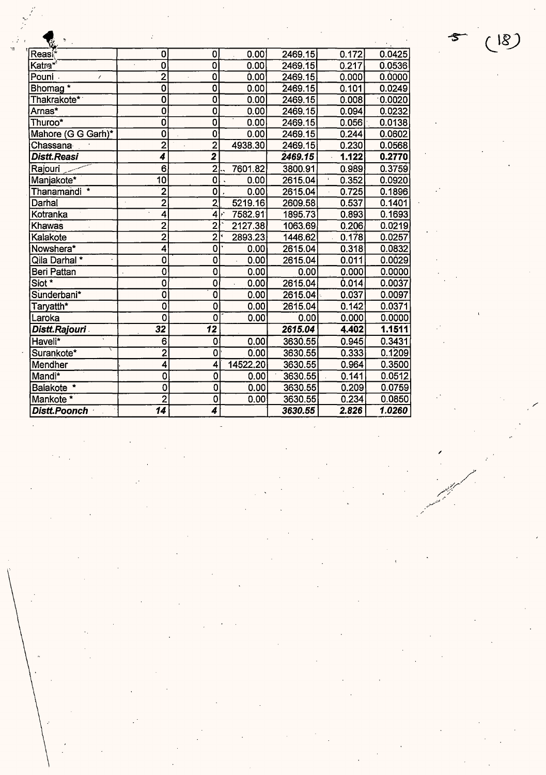| Ÿù                   |                            |                           |          |         |       |        |
|----------------------|----------------------------|---------------------------|----------|---------|-------|--------|
| Reasi®               | 0                          | 0                         | 0.00     | 2469.15 | 0.172 | 0.0425 |
| Katra* <sup>≀</sup>  | $\overline{0}$             | $\overline{\mathfrak{o}}$ | 0.00     | 2469.15 | 0.217 | 0.0536 |
| Pouni<br>$\prime$    | $\overline{2}$             | $\overline{0}$            | 0.00     | 2469.15 | 0.000 | 0.0000 |
| Bhomag*              | $\overline{\mathfrak{o}}$  | $\overline{0}$            | 0.00     | 2469.15 | 0.101 | 0.0249 |
| Thakrakote*          | $\overline{\mathfrak{o}}$  | $\overline{0}$            | 0.00     | 2469.15 | 0.008 | 0.0020 |
| Arnas*               | $\overline{0}$             | $\overline{\mathbf{0}}$   | 0.00     | 2469.15 | 0.094 | 0.0232 |
| Thuroo*              | O                          | $\overline{0}$            | 0.00     | 2469.15 | 0.056 | 0.0138 |
| Mahore (G G Garh)*   | 0                          | $\overline{\mathfrak{o}}$ | 0.00     | 2469.15 | 0.244 | 0.0602 |
| Chassana             | $\overline{2}$             | $\overline{2}$            | 4938.30  | 2469.15 | 0.230 | 0.0568 |
| Distt.Reasi          | 4                          | $\overline{\mathbf{2}}$   |          | 2469.15 | 1.122 | 0.2770 |
| Rajouri              | 6                          | $\overline{2}$            | 7601.82  | 3800.91 | 0.989 | 0.3759 |
| Manjakote*           | $\overline{10}$            | $\overline{\mathbf{0}}$   | 0.00     | 2615.04 | 0.352 | 0.0920 |
| Thanamandi *         | $\overline{2}$             | 0                         | 0.00     | 2615.04 | 0.725 | 0.1896 |
| Darhal               | $\overline{2}$             | $\overline{2}$            | 5219.16  | 2609.58 | 0.537 | 0.1401 |
| Kotranka             | $\overline{\bf{4}}$        | 4                         | 7582.91  | 1895.73 | 0.893 | 0.1693 |
| Khawas               | $\overline{2}$             | $\overline{2}$            | 2127.38  | 1063.69 | 0.206 | 0.0219 |
| Kalakote             | $\overline{2}$             | $\overline{2}$            | 2893.23  | 1446.62 | 0.178 | 0.0257 |
| Nowshera*            | 4                          | 0                         | 0.00     | 2615.04 | 0.318 | 0.0832 |
| Qila Darhal *        | 0                          | 0                         | 0.00     | 2615.04 | 0.011 | 0.0029 |
| Beri Pattan          | $\overline{\mathfrak{o}}$  | 0                         | 0.00     | 0.00    | 0.000 | 0.0000 |
| Siot *               | 0                          | $\overline{0}$            | 0.00     | 2615.04 | 0.014 | 0.0037 |
| Sunderbani*          | $\overline{\mathbf{0}}$    | Ō                         | 0.00     | 2615.04 | 0.037 | 0.0097 |
| Taryatth*            | $\overline{\mathfrak{o}}$  | $\overline{\mathbf{0}}$   | 0.00     | 2615.04 | 0.142 | 0.0371 |
| Laroka               | 0                          | 0                         | 0.00     | 0.00    | 0.000 | 0.0000 |
| <b>Distt.Rajouri</b> | $\overline{3}\overline{2}$ | $\overline{12}$           |          | 2615.04 | 4.402 | 1.1511 |
| Haveli*              | 6                          | 0                         | 0.00     | 3630.55 | 0.945 | 0.3431 |
| Surankote*           | $\overline{2}$             | 0                         | 0.00     | 3630.55 | 0.333 | 0.1209 |
| Mendher              | 4                          | 4                         | 14522.20 | 3630.55 | 0.964 | 0.3500 |
| Mandi*               | $\mathbf 0$                | 0                         | 0.00     | 3630.55 | 0.141 | 0.0512 |
| Balakote *           | $\mathbf 0$                | 0                         | 0.00     | 3630.55 | 0.209 | 0.0759 |
| Mankote *            | $\overline{2}$             | 0                         | 0.00     | 3630.55 | 0.234 | 0.0850 |
| Distt.Poonch         | 14                         | 4                         |          | 3630.55 | 2.826 | 1.0260 |

(18)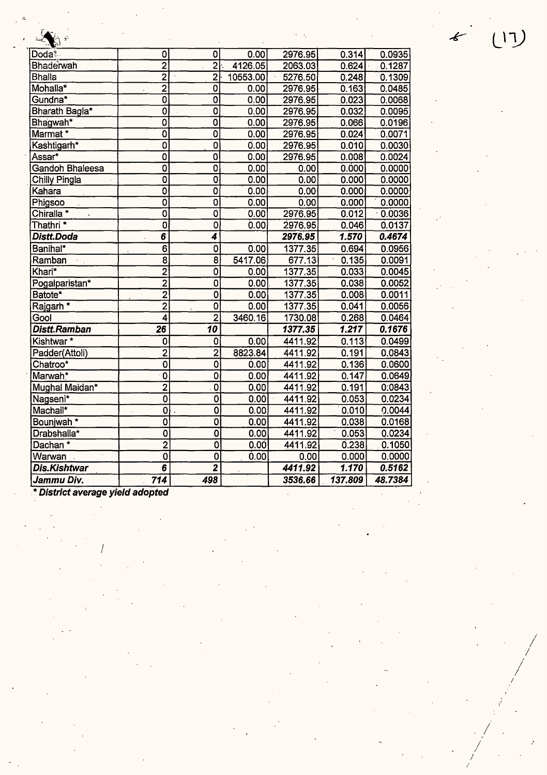| Jammu Div.                 | 714                         | 498                       |                 | 3536.66            | 137.809        | 48.7384          |
|----------------------------|-----------------------------|---------------------------|-----------------|--------------------|----------------|------------------|
| <b>Dis.Kishtwar</b>        | $\overline{\boldsymbol{6}}$ | $\mathbf{z}$              |                 | 4411.92            | 1.170          | 0.5162           |
| Warwan                     | $\ddot{\mathbf{0}}$         | 0                         | 0.00            | 0.00               | 0.000          | 0.0000           |
| Dachan*                    | $\overline{2}$              | $\overline{\mathfrak{o}}$ | 0.00            | 4411.92            | 0.238          | 0.1050           |
| Drabshalla*                | $\overline{\mathfrak{o}}$   | $\overline{\mathbf{0}}$   | 0.00            | 4411.92            | 0.053          | 0.0234           |
| Bounjwah <sup>*</sup>      | $\overline{\mathbf{0}}$     | $\overline{0}$            | 0.00            | 4411.92            | 0.038          | 0.0168           |
| Machail*                   | $\overline{0}$              | $\overline{\mathbf{o}}$   | 0.00            | 4411.92            | 0.010          | 0.0044           |
| Nagseni*                   | $\overline{\mathfrak{o}}$   | $\overline{\mathbf{0}}$   | 0.00            | 4411.92            | 0.053          | 0.0234           |
| Mughal Maidan*             | $\overline{2}$              | $\overline{0}$            | 0.00            | 4411.92            | 0.191          | 0:0843           |
| Marwah*                    | $\overline{0}$              | $\overline{\mathbf{0}}$   | 0.00            | 4411.92            | 0.147          | 0.0649           |
| Chatroo*                   | $\overline{0}$              | $\overline{\mathbf{0}}$   | 0.00            | 4411.92            | 0.136          | 0.0600           |
| Padder(Attoli)             | $\overline{2}$              | $\overline{2}$            | 8823.84         | 4411.92            | 0.191          | 0.0843           |
| Kishtwar <sup>*</sup>      | 0                           | $\bf{0}$                  | 0.00            | 4411.92            | 0.113          | 0.0499           |
| Distt.Ramban               | $\overline{26}$             | $\overline{10}$           |                 | 1377.35            | 1.217          | 0.1676           |
| Gool                       | $\overline{\bf 4}$          | $\overline{2}$            | 3460.16         | 1730.08            | 0.268          | 0.0464           |
| Rajgarh <sup>*</sup>       | $\overline{2}$              | $\overline{\mathbf{0}}$   | 0.00            | 1377.35            | 0.041          | 0.0056           |
| Batote*                    | $\overline{2}$              | $\overline{\mathfrak{o}}$ | 0.00            | 1377.35            | 0.008          | 0.0011           |
| Pogalparistan*             | $\overline{2}$              | $\overline{0}$            | 0.00            | 1377.35            | 0.038          | 0.0052           |
| Khari*                     | $\overline{2}$              | $\mathbf 0$               | 0.00            | 1377.35            | 0.033          | 0.0045           |
| Ramban                     | 8                           | 8                         | 5417.06         | 677.13             | 0.135          | 0.0091           |
| Banihal*                   | $\overline{6}$              | $\overline{\mathbf{0}}$   | 0.00            | 1377.35            | 0.694          | 0.0956           |
| Distt.Doda                 | $\overline{\boldsymbol{6}}$ | 4                         |                 | 2976.95            | 1.570          | 0.4674           |
| Thathri <sup>*</sup>       | $\overline{\mathfrak{o}}$   | $\overline{0}$            | 0.00            | 2976.95            | 0.046          | 0.0137           |
| Chiralla *                 | $\overline{\mathbf{0}}$     | $\overline{0}$            | 0.00            | 2976.95            | 0.012          | 0.0036           |
| Phigsoo                    | $\overline{\mathfrak{o}}$   | $\overline{0}$            | 0.00            | 0.00               | 0.000          | 0.0000           |
| ∣Kahara                    | $\overline{\mathfrak{o}}$   | $\overline{0}$            | 0.00            | 0.00               | 0.000          | 0.0000           |
| Chilly Pingla              | $\overline{\mathbf{0}}$     | $\overline{0}$            | 0.00            | 0.00               | 0.000          | 0.0000           |
| Gandoh Bhaleesa            | $\overline{0}$              | $\overline{\mathbf{0}}$   | 0.00            | 0.00               | 0.000          | 0.0000           |
| Assar*                     | $\overline{\mathfrak{o}}$   | $\overline{\mathfrak{o}}$ | 0.00            | 2976.95            | 0.008          | 0.0024           |
| Kashtigarh*                | $\overline{0}$              | $\overline{0}$            | 0.00            | 2976.95            | 0.010          | 0.0030           |
| Marmat*                    | $\overline{\mathfrak{o}}$   | $\overline{\mathfrak{o}}$ | 0.00            | 2976.95            | 0.024          | 0.0071           |
| Bhagwah*                   | $\overline{\mathbf{0}}$     | O                         | 0.00            | 2976.95            | 0.066          | 0.0196           |
| Bharath Bagla*             | $\overline{\mathfrak{o}}$   | $\overline{0}$            | 0.00            | 2976.95            | 0.032          | 0.0095           |
| Gundna*                    | $\overline{\mathbf{0}}$     | 0                         | 0.00            | 2976.95            | 0.023          | 0.0068           |
| Mohalla*                   | $\overline{2}$              | $\overline{0}$            | 0.00            | 2976.95            | 0.163          | 0.0485           |
| Bhaderwah<br><b>Bhalla</b> | $\overline{2}$              | $\overline{2}$            | 10553.00        | 2063.03<br>5276.50 | 0.624<br>0.248 | 0.1287<br>0.1309 |
| Doda <sup>*</sup>          | 0<br>$\overline{2}$         | $\overline{2}$            | 0.00<br>4126.05 | 2976.95            | 0.314          | 0.0935           |
| $-1$                       |                             | 0                         |                 |                    |                |                  |

*I*  ;

*I I* 

*./* 

*/ I / I* 

 $\begin{pmatrix} 1 & 1 \\ 1 & 1 \end{pmatrix}$ 

 $\epsilon$ 

. \* **District average yield adopted** 

C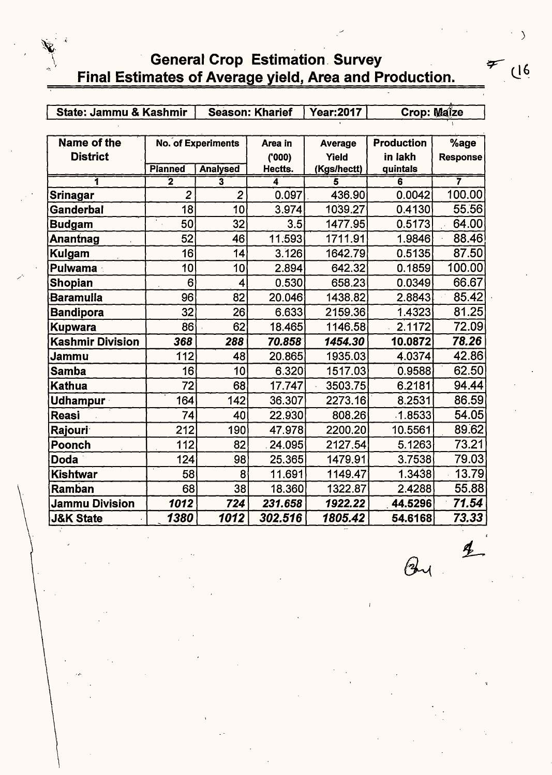#### General Crop Estimation. Survey Final Estimates of Average yield, Area and Production.

| <b>State: Jammu &amp; Kashmir</b> |                |                    | <b>Season: Kharief</b> | <b>Year:2017</b> | <b>Crop: Maize</b> |                 |
|-----------------------------------|----------------|--------------------|------------------------|------------------|--------------------|-----------------|
|                                   |                |                    |                        |                  |                    |                 |
| Name of the                       |                | No. of Experiments | Area in                | <b>Average</b>   | <b>Production</b>  | %age            |
| <b>District</b>                   |                |                    | (000)                  | Yield            | in lakh            | <b>Response</b> |
|                                   | <b>Planned</b> | <b>Analysed</b>    | Hectts.                | (Kgs/hectt)      | quintals           |                 |
|                                   | 2              | 3                  | 4                      |                  | 6                  | 7               |
| Srinagar                          | $\overline{2}$ | $\overline{2}$     | 0.097                  | 436.90           | 0.0042             | 100.00          |
| Ganderbal                         | 18             | 10                 | 3.974                  | 1039.27          | 0.4130             | 55.56           |
| Budgam                            | 50             | 32                 | 3.5                    | 1477.95          | 0.5173             | 64.00           |
| Anantnag                          | 52             | 46                 | 11.593                 | 1711.91          | 1.9846             | 88.46           |
| Kulgam                            | 16             | 14                 | 3.126                  | 1642.79          | 0.5135             | 87.50           |
| <b>Pulwama</b>                    | 10             | 10                 | 2.894                  | 642.32           | 0.1859             | 100.00          |
| Shopian                           | 6              | 4                  | 0.530                  | 658.23           | 0.0349             | 66.67           |
| <b>Baramulla</b>                  | 96             | 82                 | 20.046                 | 1438.82          | 2.8843             | 85.42           |
| <b>Bandipora</b>                  | 32             | 26                 | 6.633                  | 2159.36          | 1.4323             | 81.25           |
| <b>Kupwara</b>                    | 86             | 62                 | 18.465                 | 1146.58          | 2.1172             | 72.09           |
| <b>Kashmir Division</b>           | 368            | 288                | 70.858                 | 1454.30          | 10.0872            | 78.26           |
| Jammu                             | 112            | 48                 | 20.865                 | 1935.03          | 4.0374             | 42.86           |
| <b>Samba</b>                      | 16             | 10                 | 6.320                  | 1517.03          | 0.9588             | 62.50           |
| <b>Kathua</b>                     | 72             | 68                 | 17.747                 | 3503.75          | 6.2181             | 94.44           |
| <b>Udhampur</b>                   | 164            | 142                | 36.307                 | 2273.16          | 8.2531             | 86.59           |
| <b>Reasi</b>                      | 74             | 40                 | 22.930                 | 808.26           | 1.8533             | 54.05           |
| <b>Rajouri</b>                    | 212            | 190                | 47.978                 | 2200.20          | 10.5561            | 89.62           |
| <b>Poonch</b>                     | 112            | 82                 | 24.095                 | 2127.54          | 5.1263             | 73.21           |
| <b>Doda</b>                       | 124            | 98                 | 25.365                 | 1479.91          | 3.7538             | 79.03           |
| <b>Kishtwar</b>                   | 58             | 8                  | 11.691                 | 1149.47          | 1.3438             | 13.79           |
| Ramban                            | 68             | 38                 | 18.360                 | 1322.87          | 2.4288             | 55.88           |
| <b>Jammu Division</b>             | 1012           | 724                | 231.658                | 1922.22          | 44.5296            | 71.54           |
| <b>J&amp;K State</b>              | 1380           | 1012               | 302.516                | 1805.42          | 54.6168            | 73.33           |

 $(16)$ 

 $\cdot$  )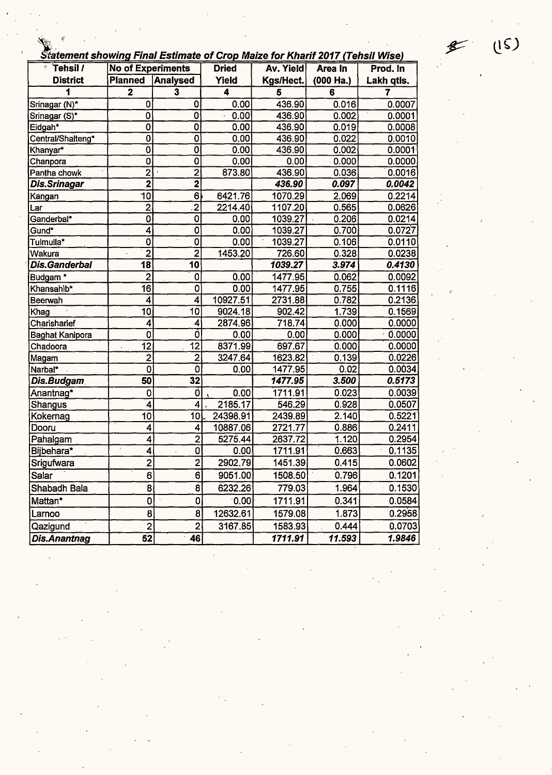|  | tatement showing Final Estimate of Crop Maize for Kharif 2017 (Tehsil Wise) |  |
|--|-----------------------------------------------------------------------------|--|
|  |                                                                             |  |

| Tehsil /<br>Ŷ.         | <b>No of Experiments</b> |                         | <b>Dried</b> | Statement showing Final Estimate of Crop waize for Knarn 2017 (Tensil Wise)<br>Av. Yield<br>Prod. In<br>Area In |             |            |
|------------------------|--------------------------|-------------------------|--------------|-----------------------------------------------------------------------------------------------------------------|-------------|------------|
| <b>District</b>        | <b>Planned</b>           | Analysed                | Yield        | Kgs/Hect.                                                                                                       | $(000$ Ha.) | Lakh qtls. |
| 1                      | $\overline{\mathbf{2}}$  | $\overline{\mathbf{3}}$ | 4            | 5                                                                                                               | 6           | 7          |
| Srinagar (N)*          | $\mathbf 0$              | 0                       | $0.00 -$     | 436.90                                                                                                          | 0.016       | 0.0007     |
| Srinagar (S)*          | 0                        | 0                       | 0.00         | 436.90                                                                                                          | 0.002       | 0.0001     |
| Eidgah*                | $\bf{0}$                 | 0                       | 0.00         | 436.90                                                                                                          | 0.019       | 0.0008     |
| Central/Shalteng*      | 0                        | $\overline{\mathbf{0}}$ | 0.00         | 436.90                                                                                                          | 0.022       | 0.0010     |
| Khanyar*               | $\mathbf 0$              | $\overline{0}$          | 0.00         | 436.90                                                                                                          | 0.002       | 0.0001     |
| Chanpora               | $\mathbf 0$              | O                       | 0.00         | 0.00                                                                                                            | 0.000       | 0.0000     |
| Pantha chowk           | $\overline{2}$           |                         | 873.80       | 436.90                                                                                                          | 0.036       | 0.0016     |
| <b>Dis.Srinagar</b>    | $\overline{\mathbf{2}}$  | $\frac{2}{2}$           |              | 436.90                                                                                                          | 0.097       | 0.0042     |
| Kangan                 | 10                       | $6\overline{6}$         | 6421.76      | 1070.29                                                                                                         | 2.069       | 0.2214     |
| Lar                    | $\overline{2}$           | $\overline{2}$          | 2214.40      | 1107.20                                                                                                         | 0.565       | 0.0626     |
| Ganderbal*             | $\overline{\mathbf{0}}$  | 0                       | 0.00         | 1039.27                                                                                                         | 0.206       | 0.0214     |
| Gund*                  | 4                        | 0                       | 0.00         | 1039.27                                                                                                         | 0.700       | 0.0727     |
| Tulmulla*              | 0                        | 0                       | 0.00         | 1039.27                                                                                                         | 0.106       | 0.0110     |
| Wakura                 | $\overline{2}$           | $\overline{2}$          | 1453.20      | 726.60                                                                                                          | 0.328       | 0.0238     |
| Dis.Ganderbal          | $\overline{18}$          | 10                      |              | 1039.27                                                                                                         | 3.974       | 0.4130     |
| Budgam <sup>*</sup>    | $\overline{2}$           | 0                       | 0.00         | 1477.95                                                                                                         | 0.062       | 0.0092     |
| Khansahib*             | $\overline{16}$          | 0                       | 0.00         | 1477.95                                                                                                         | 0.755       | 0.1116     |
| Beerwah                | 4                        | 4                       | 10927.51     | 2731.88                                                                                                         | 0.782       | 0.2136     |
| Khag                   | $\overline{10}$          | 10                      | 9024.18      | 902.42                                                                                                          | 1.739       | 0.1569     |
| Charisharief           | 4                        | 4                       | 2874.96      | 718.74                                                                                                          | 0.000       | 0.0000     |
| <b>Baghat Kanipora</b> | 0                        | o                       | 0.00         | 0.00                                                                                                            | 0.000       | 0.0000     |
| Chadoora               | 12                       | 12                      | 8371.99      | 697.67                                                                                                          | 0.000       | 0.0000     |
| Magam                  | $\mathbf{2}$             | $\overline{2}$          | 3247.64      | 1623.82                                                                                                         | 0.139       | 0.0226     |
| Narbal*                | $\mathbf 0$              | Ò                       | 0.00         | 1477.95                                                                                                         | 0.02        | 0.0034     |
| Dis.Budgam             | 50                       | 32                      |              | 1477.95                                                                                                         | 3.500       | 0.5173     |
| Anantnag*              | $\bf{0}$                 | Ó                       | 0.00         | 1711.91                                                                                                         | 0.023       | 0.0039     |
| Shangus                | 4                        | 4                       | 2185.17      | 546.29                                                                                                          | 0.928       | 0.0507     |
| Kokernag               | 10                       | 10                      | 24398.91     | 2439.89                                                                                                         | 2.140       | 0,5221     |
| Dooru                  | $\overline{\mathbf{4}}$  | 4                       | 10887.06     | 2721.77                                                                                                         | 0.886       | 0.2411     |
| Pahalgam               | 4                        | $\overline{2}$          | 5275.44      | 2637.72                                                                                                         | 1.120       | 0.2954     |
| Bijbehara*             | 4                        | 0                       | 0.00         | 1711.91                                                                                                         | 0.663       | 0.1135     |
| Srigufwara             | $\overline{2}$           | $\overline{2}$          | 2902.79      | 1451.39                                                                                                         | 0.415       | 0.0602     |
| Salar                  | 6                        | 6 <sup>1</sup>          | 9051.00      | 1508.50                                                                                                         | 0.796       | 0.1201     |
| Shabadh Bala           | 8                        | 8 <sup>1</sup>          | 6232.26      | 779.03                                                                                                          | 1.964       | 0.1530     |
| Mattan*                | 0                        | 0                       | 0.00         | 1711.91                                                                                                         | 0.341       | 0.0584     |
| Larnoo                 | 8                        | 8                       | 12632.61     | 1579.08                                                                                                         | 1.873       | 0.2958     |
| (Qazigund              | $\overline{2}$           | $\overline{2}$          | 3167.85      | 1583.93                                                                                                         | 0.444       | 0.0703     |
| <b>Dis.Anantnag</b>    | $\overline{52}$          | 46                      |              | 1711.91                                                                                                         | 11.593      | 1.9846     |

 $\mathscr{F}$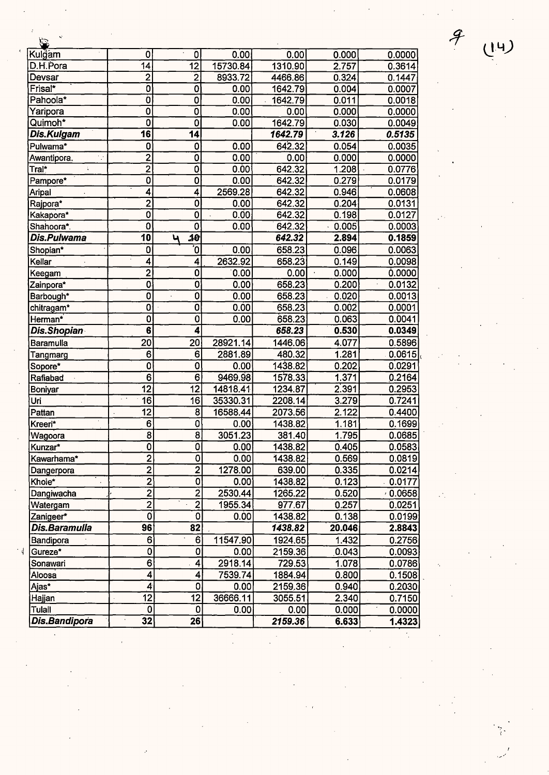| Kul <u>ğam</u>     | 0                       | $\cdot$<br>$\mathbf{0}$   | 0.00     | 0.00    | 0.000  | 0.0000   |
|--------------------|-------------------------|---------------------------|----------|---------|--------|----------|
| D.H.Pora           | 14                      | $\overline{12}$           | 15730.84 | 1310.90 | 2.757  | 0.3614   |
| Devsar             | $\overline{\mathbf{c}}$ | $\overline{2}$            | 8933.72  | 4466.86 | 0.324  | 0.1447   |
| Frisal*            | Ò                       | Ō                         | 0.00     | 1642.79 | 0.004  | 0.0007   |
| Pahoola*           | Ö                       | $\overline{\mathfrak{o}}$ | 0.00     | 1642.79 | 0.011  | 0.0018   |
| Yaripora           | 0                       | $\overline{\mathfrak{o}}$ | 0.00     | 0.00    | 0.000  | 0.0000   |
| Quimoh*            | 0                       | 0                         | 0.00     | 1642.79 | 0.030  | 0.0049   |
| Dis.Kulgam         | 16                      | $\overline{14}$           |          | 1642.79 | 3.126  | 0.5135   |
| Pulwama*           | $\bf{0}$                | 0                         | 0.00     | 642.32  | 0.054  | 0.0035   |
| Awantipora.<br>V,  | $\overline{2}$          | Ō                         | 0.00     | 0.00    | 0.000  | 0.0000   |
| Tral*              | $\overline{2}$          | $\overline{\mathfrak{o}}$ | 0.00     | 642.32  | 1.208  | 0.0776   |
| Pampore*           | Ò                       | $\overline{\mathbf{0}}$   | 0.00     | 642.32  | 0.279  | 0.0179   |
| Aripal             | 4                       | 4                         | 2569.28  | 642.32  | 0.946  | 0.0608   |
| Rajpora*           | $\overline{2}$          | $\overline{0}$            | 0.00     | 642.32  | 0.204  | 0.0131   |
| Kakapora*          | $\overline{0}$          | $\bar{\mathbf{0}}$        | 0.00     | 642.32  | 0.198  | 0.0127   |
| Shahoora*.         | $\overline{0}$          | 0                         | 0.00     | 642.32  | 0.005  | 0.0003   |
| Dis.Pulwama        | 10                      | 10<br>ч                   |          | 642.32  | 2.894  | 0.1859   |
| Shopian*           | 0                       | ō                         | 0.00     | 658.23  | 0.096  | 0.0063   |
| Kellar             | $\mathbf 4$             | 4                         | 2632.92  | 658.23  | 0.149  | 0.0098   |
| Keegam             | $\overline{2}$          | Ó                         | 0.00     | 0.00    | 0.000  | 0.0000   |
| Zainpora*          | $\overline{0}$          | $\overline{\mathbf{0}}$   | 0.00     | 658.23  | 0.200  | 0.0132   |
| Barbough*          | 0                       | $\overline{\mathbf{0}}$   | 0.00     | 658.23  | 0.020  | 0.0013   |
| chitragam*         | $\mathbf{0}$            | $\overline{\mathbf{0}}$   | 0.00     | 658.23  | 0.002  | 0.0001   |
| Herman*            | O                       | O                         | 0.00     | 658.23  | 0.063  | 0.0041   |
| <b>Dis.Shopian</b> | $\overline{\mathbf{6}}$ | $\overline{\bf{4}}$       |          | 658.23  | 0.530  | 0.0349   |
| Baramulla          | $\overline{20}$         | 20                        | 28921.14 | 1446.06 | 4.077  | 0.5896   |
| Tangmarg           | 6                       | 6                         | 2881.89  | 480.32  | 1.281  | 0.0615   |
| Sopore*            | $\mathbf 0$             | 0                         | 0.00     | 1438.82 | 0.202  | 0.0291   |
| Rafiabad           | $\overline{6}$          | $\overline{6}$            | 9469.98  | 1578.33 | 1.371  | 0.2164   |
| <b>Boniyar</b>     | $\overline{12}$         | $\overline{12}$           | 14818.41 | 1234.87 | 2.391  | 0.2953   |
| Uri                | 16                      | 16                        | 35330.31 | 2208.14 | 3.279  | 0.7241   |
| Pattan             | 12                      | $\overline{\mathbf{8}}$   | 16588.44 | 2073.56 | 2.122  | 0.4400   |
| Kreeri*            | 6                       | 0                         | 0.00     | 1438.82 | 1.181  | 0.1699   |
| Wagoora            | $\overline{\mathbf{8}}$ | $\overline{\mathbf{8}}$   | 3051.23  | 381.40  | 1.795  | 0.0685   |
| Kunzar*            | $\overline{0}$          | Ō                         | 0.00     | 1438.82 | 0.405  | 0.0583   |
| Kawarhama*         | $\overline{2}$          | $\overline{\mathbf{0}}$   | 0.00     | 1438.82 | 0.569  | 0.0819   |
| Dangerpora         | $\overline{2}$          | $\overline{2}$            | 1278.00  | 639.00  | 0.335  | 0.0214   |
| Khoie*             | $\overline{2}$          | 0                         | 0.00     | 1438.82 | 0.123  | 0.0177   |
| Dangiwacha         | $\overline{2}$          | $\overline{2}$            | 2530.44  | 1265.22 | 0.520  | (0.0658) |
| Watergam           | $\overline{2}$          | $\overline{2}$            | 1955.34  | 977.67  | 0.257  | 0.0251   |
| Zanigeer*          | $\overline{\mathbf{0}}$ | 0                         | 0.00     | 1438.82 | 0.138  | 0.0199   |
| Dis.Baramulla      | 96                      | 82                        |          | 1438.82 | 20.046 | 2.8843   |
| Bandipora          | 6                       | 6                         | 11547.90 | 1924.65 | 1.432  | 0.2756   |
| Gureze*            | 0                       | 0                         | 0.00     | 2159.36 | 0.043  | 0.0093   |
| Sonawari           | $6 \overline{6}$        | 4                         | 2918.14  | 729.53  | 1.078  | 0.0786   |
| Aloosa             | 4                       | 4                         | 7539.74  | 1884.94 | 0.800  | 0.1508   |
| Ajas*              | 4                       | 0                         | 0.00     | 2159,36 | 0.940  | 0.2030   |
| Hajjan             | 12                      | 12                        | 36666.11 | 3055.51 | 2.340  | 0.7150   |
| Tulail             | 0                       | $\mathbf 0$               | 0.00     | 0.00    | 0.000  | 0.0000   |
| Dis.Bandipora      | 32                      | 26                        |          | 2159.36 | 6.633  | 1.4323   |

 $\frac{1}{2}$ 

 $\ddot{\phantom{a}}$ 

*ff* **l\_!4)** 

 $\sum$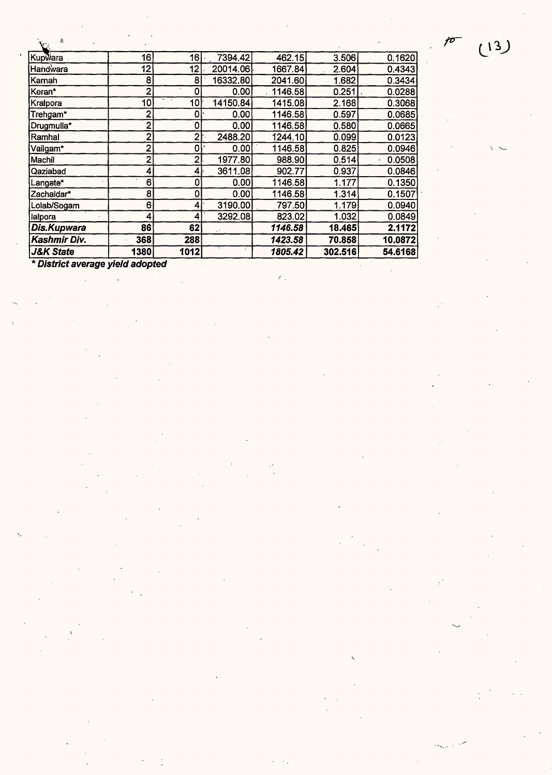$(13)$ 

jo

| ÷.                   |                |                          |          |         |         |         |
|----------------------|----------------|--------------------------|----------|---------|---------|---------|
| Kupwara              | 16             | 16                       | 7394.42  | 462.15  | 3.506   | 0.1620  |
| Handwara             | 12             | 12                       | 20014.06 | 1667.84 | 2.604   | 0.4343  |
| Karnah               | 8              | 8                        | 16332.80 | 2041.60 | 1.682   | 0.3434  |
| Keran*               | $\overline{2}$ | 0                        | 0.00     | 1146.58 | 0.251   | 0.0288  |
| Kralpora             | 10             | ×.<br>$\mathbf{r}$<br>10 | 14150.84 | 1415.08 | 2.168   | 0.3068  |
| Trehgam*             | 2              | $\bf{0}$                 | 0.00     | 1146.58 | 0.597   | 0.0685  |
| Drugmulla*           | $\overline{2}$ | 0                        | 0.00     | 1146.58 | 0.580   | 0.0665  |
| Ramhal               | $\overline{2}$ | $\mathbf{2}$             | 2488.20  | 1244.10 | 0.099   | 0.0123  |
| Vailgam*             | $\overline{2}$ | 0                        | 0.00     | 1146.58 | 0.825   | 0.0946  |
| Machil               | $\overline{2}$ | $\overline{2}$           | 1977.80  | 988.90  | 0.514   | 0.0508  |
| Qaziabad             | 4              | 4                        | 3611.08  | 902.77  | 0.937   | 0.0846  |
| _angate*             | 6              | 0                        | 0.00     | 1146.58 | 1.177   | 0.1350  |
| Zachaldar*           | 8              | 0                        | 0.00     | 1146.58 | 1.314   | 0.1507  |
| Lolab/Sogam          | 6              | 4                        | 3190.00  | 797.50  | 1.179   | 0.0940  |
| lalpora              | 4              | 4                        | 3292.08  | 823.02  | 1.032   | 0.0849  |
| <b>Dis.Kupwara</b>   | 86             | 62                       |          | 1146.58 | 18.465  | 2.1172  |
| Kashmir Div.         | 368            | 288                      |          | 1423.58 | 70.858  | 10.0872 |
| <b>J&amp;K State</b> | 1380           | 1012                     |          | 1805.42 | 302.516 | 54.6168 |

 $\mathcal{F}_{\mathcal{F}}$ 

\* **District average yield adopted**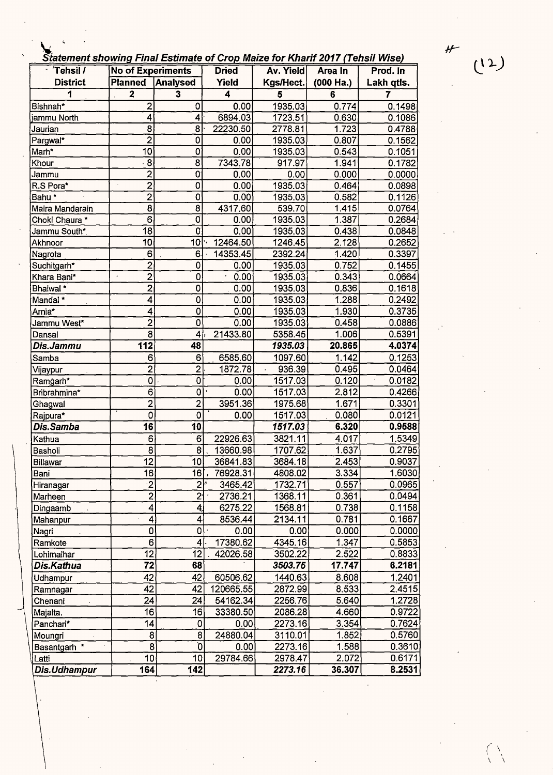' **Statement showing Final Estimate of Crop Maize for Kharif 2017 (Tehsil Wise)** 

| olatement showing r mar Loumate or Grop marke for Kharn Lorr (Tensh Mise)<br>Tehsil /<br><b>No of Experiments</b> |                         | <b>Dried</b>              | Av. Yield             | Area In            | Prod. In  |                     |
|-------------------------------------------------------------------------------------------------------------------|-------------------------|---------------------------|-----------------------|--------------------|-----------|---------------------|
| <b>District</b>                                                                                                   | <b>Planned</b>          | <b>Analysed</b>           | Yield                 | Kgs/Hect.          | (000 Ha.) | Lakh qtls.          |
| 1                                                                                                                 | $\overline{\mathbf{2}}$ | $\overline{\mathbf{3}}$   | 4                     | 5                  | 6         | $\overline{7}$      |
| Bishnah*                                                                                                          | $\overline{\mathbf{c}}$ | 0                         | 0.00                  | 1935.03            | 0.774     | 0.1498              |
| jammu North                                                                                                       | 4                       | 4                         | 6894.03               | 1723.51            | 0.630     | 0.1086              |
| Jaurian                                                                                                           | 8                       | 8                         | 22230.50              | 2778.81            | 1.723     | 0.4788              |
|                                                                                                                   | $\overline{2}$          | 0                         | 0.00                  | 1935.03            | 0.807     |                     |
| Pargwal*<br>Marh*                                                                                                 | 10                      | 0                         | 0.00                  | 1935.03            | 0.543     | 0.1562<br>0.1051    |
| Khour                                                                                                             | 8                       | $\overline{8}$            | 7343.78               | 917.97             | 1.941     | 0.1782              |
| Jammu                                                                                                             | $\overline{2}$          | 0                         | 0.00                  | 0.00               | 0.000     | 0.0000              |
| R.S Pora*                                                                                                         | $\overline{2}$          | $\mathbf 0$               | 0.00                  | 1935.03            | 0.464     | 0.0898              |
| Bahu <sup>*</sup>                                                                                                 | $\overline{2}$          | $\overline{0}$            | 0.00                  | 1935.03            | 0.582     | 0.1126              |
| Maira Mandarain                                                                                                   | $\overline{8}$          | $\overline{8}$            | 4317.60               | 539.70             | 1.415     | 0.0764              |
| Choki Chaura *                                                                                                    | $\overline{6}$          | O                         | 0.00                  | 1935.03            | 1.387     | 0.2684              |
| Jammu South*                                                                                                      | 18                      | 0                         | 0.00                  | 1935.03            | 0.438     | 0.0848              |
| Akhnoor                                                                                                           | 10                      | 10 <sup>1</sup>           | 12464.50<br>۰,        | 1246.45            | 2.128     | 0.2652              |
| Nagrota                                                                                                           | 6                       | 6.                        | 14353.45              | 2392.24            | 1.420     | 0.3397              |
| Suchitgarh*                                                                                                       | $\overline{2}$          | 0                         | 0.00                  | 1935.03            | 0.752     | 0.1455              |
| Khara Bani*                                                                                                       | $\overline{2}$<br>ä,    | 0                         | 0.00                  | 1935.03            | 0.343     | 0.0664              |
| Bhaiwal *                                                                                                         | $\overline{2}$          | 0                         | 0.00                  | 1935.03            | 0.836     | 0.1618              |
| Mandal*                                                                                                           | 4                       | 0                         | 0.00                  | 1935.03            | 1.288     | 0.2492              |
| Arnia*                                                                                                            | 4                       | 0                         | 0.00                  | 1935.03            | 1.930     | 0.3735              |
| Jammu West*                                                                                                       | $\overline{2}$          | $\overline{0}$            | 0.00                  | 1935.03            | 0.458     | 0.0886              |
| Dansal                                                                                                            | $\overline{8}$          | 4                         | 21433.80              | 5358.45            | 1.006     | 0.5391              |
| Dis.Jammu                                                                                                         | $\overline{112}$        | 48                        |                       | 1935.03            | 20.865    | 4.0374              |
| Samba                                                                                                             | 6                       | $6^{\circ}$               | 6585.60               | 1097.60            | 1.142     | 0.1253              |
|                                                                                                                   | $\overline{2}$          | $\overline{2}$            | 1872.78               | 936.39             | 0.495     | 0.0464              |
| Vijaypur<br>Ramgarh*                                                                                              | 0                       | 0                         | 0.00                  | 1517.03            | 0.120     | 0.0182              |
| Bribrahmina*                                                                                                      | $\overline{6}$          | $\mathbf 0$               | 0.00                  | 1517.03            | 2.812     | 0.4266              |
| Ghagwal                                                                                                           | $\overline{2}$          | $\overline{2}$            | 3951.36               | 1975.68            | 1.671     | 0.3301              |
| Rajpura*                                                                                                          | $\overline{0}$          | 0                         | 0.00                  | 1517.03            | 0.080     | 0.0121              |
| Dis.Samba                                                                                                         | 16                      | 10                        |                       | 1517.03            | 6.320     | 0.9588              |
| Kathua                                                                                                            | 6                       | 6 <sup>′</sup>            | 22926.63              | 3821.11            | 4.017     | 1.5349              |
| Basholi                                                                                                           | 8                       | 8                         | 13660.98              | 1707.62            | 1.637     | $\overline{0.2795}$ |
| Billawar                                                                                                          | $\overline{12}$         | 10 <sub>l</sub>           | 36841.83              | 3684.18            | 2.453     | 0.9037              |
| Bani                                                                                                              | 16                      | 16                        | 76928.31              | 4808.02            | 3.334     | 1.6030              |
| Hiranagar                                                                                                         | $\overline{2}$          | ا 2                       | 3465.42               | 1732.71            | 0.557     | 0.0965              |
| Marheen                                                                                                           | $\overline{2}$          | $\overline{2}$            | 2736.21               | 1368.11            | 0.361     | 0.0494              |
| Dingaamb                                                                                                          | 4                       | $\vert 4 \vert$           | 6275.22               | 1568.81            | 0.738     | 0.1158              |
| Mahanpur                                                                                                          | 4                       | 4                         | 8536.44               | 2134.11            | 0.781     | 0.1667              |
| Nagri                                                                                                             | 0                       | $\mathsf{o}$              | 0.00                  | 0.00               | 0.000     | 0.0000              |
| Ramkote                                                                                                           | 6                       | $\vert 4 \vert$           | 17380.62              | 4345.16            | 1.347     | 0.5853              |
| Lohimalhar                                                                                                        | 12                      | 12                        | 42026.58              | 3502.22            | 2.522     | 0.8833              |
| Dis.Kathua                                                                                                        | 72                      | 68                        |                       | 3503.75            | 17.747    | 6.2181              |
|                                                                                                                   | 42                      | 42                        | 60506.62              | 1440.63            | 8.608     | 1.2401              |
| Udhampur                                                                                                          | 42                      | 42                        |                       |                    | 8.533     | 2.4515              |
| Ramnagar                                                                                                          | 24                      | 24                        | 120665.55<br>54162.34 | 2872.99<br>2256.76 | 5.640     | 1.2728              |
| Chenani                                                                                                           | 16                      | 16                        | 33380.50              | 2086.28            | 4.660     | 0.9722              |
| Majalta.                                                                                                          |                         | 0                         |                       | 2273.16            | 3.354     | 0.7624              |
| Panchari*                                                                                                         | 14<br>8                 | 8                         | 0.00<br>24880.04      |                    | 1.852     | 0.5760              |
| Moungri                                                                                                           | 8                       | $\overline{\mathfrak{d}}$ |                       | 3110.01<br>2273.16 | 1.588     |                     |
| Basantgarh *                                                                                                      |                         | 10                        | 0.00<br>29784.66      | 2978.47            | 2.072     | 0.3610              |
| Latti                                                                                                             | 10 <sub>1</sub>         |                           |                       |                    |           | 0.6171              |
| Dis.Udhampur                                                                                                      | 164                     | 142                       |                       | 2273.16            | 36.307    | 8.2531              |

 $(12)$ 

*(* \ I  $\sqrt{ }$ 

*H-*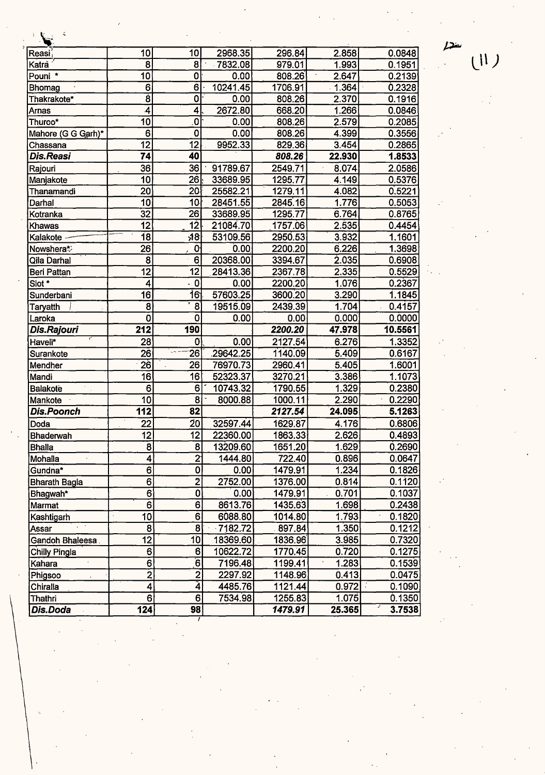| Reasi,             | 10               | 10                   | 2968.35  | 296.84  | 2.858  | 0.0848  |
|--------------------|------------------|----------------------|----------|---------|--------|---------|
| Katrà              | 8                | 8                    | 7832.08  | 979.01  | 1.993  | 0.1951  |
| Pouni *            | 10               | 0                    | 0.00     | 808.26  | 2.647  | 0.2139  |
| Bhomag             | 6                | 6                    | 10241.45 | 1706.91 | 1.364  | 0.2328  |
| Thakrakote*        | $\overline{8}$   | 0                    | 0.00     | 808.26  | 2.370  | 0.1916  |
| Arnas              | 4                | 4                    | 2672.80  | 668.20  | 1.266  | 0.0846  |
| Thuroo*            | 10               | O                    | 0.00     | 808.26  | 2.579  | 0.2085  |
| Mahore (G G Garh)* | 6                | 0                    | 0.00     | 808.26  | 4.399  | 0.3556  |
| Chassana           | 12               | 12                   | 9952.33  | 829.36  | 3.454  | 0.2865  |
| Dis.Reasi          | 74               | 40                   |          | 808.26  | 22.930 | 1.8533  |
| Rajouri            | 36               | 36                   | 91789.67 | 2549.71 | 8.074  | 2.0586  |
| Manjakote          | 10               | 26                   | 33689.95 | 1295.77 | 4.149  | 0.5376  |
| Thanamandi         | 20               | 20                   | 25582.21 | 1279.11 | 4.082  | 0.5221  |
| Darhal             | 10               | 10 <sub>1</sub>      | 28451.55 | 2845.16 | 1.776  | 0.5053  |
| Kotranka           | $\overline{32}$  | 26                   | 33689.95 | 1295.77 | 6.764  | 0.8765  |
| Khawas             | 12               | 12                   | 21084.70 | 1757.06 | 2.535  | 0.4454  |
| Kalakote           | 18               | 18                   | 53109.56 | 2950.53 | 3.932  | 1.1601  |
| Nowshera*          | 26               | 0                    | 0.00     | 2200.20 | 6.226  | 1.3698  |
| Qila Darhal        | $\bf{8}$         | 6                    | 20368.00 | 3394.67 | 2.035  | 0.6908  |
| Beri Pattan        | 12               | 12                   | 28413.36 | 2367.78 | 2.335  | 0.5529  |
| Siot*              | 4                | $\cdot$ 0            | 0.00     | 2200.20 | 1.076  | 0.2367  |
| Sunderbani         | 16               | 16                   | 57603.25 | 3600.20 | 3.290  | 1.1845  |
| Taryatth           | $\mathbf{8}$     | 8                    | 19515.09 | 2439.39 | 1.704  | 0.4157  |
| Laroka             | Ó                | $\mathbf 0$          | 0.00     | 0.00    | 0.000  | 0.0000  |
| Dis.Rajouri        | 212              | 190                  |          | 2200.20 | 47.978 | 10.5561 |
| Haveli*            | $28^{\circ}$     | 0                    | 0.00     | 2127.54 | 6.276  | 1.3352  |
| Surankote          | 26               | 26                   | 29642.25 | 1140.09 | 5.409  | 0.6167  |
| Mendher            | 26               | 26                   | 76970.73 | 2960.41 | 5.405  | 1.6001  |
| Mandi              | 16               | 16                   | 52323.37 | 3270.21 | 3.386  | 1.1073  |
| <b>Balakote</b>    | 6                | 6                    | 10743.32 | 1790.55 | 1.329  | 0.2380  |
| Mankote            | 10               | 8                    | 8000.88  | 1000.11 | 2.290  | 0.2290  |
| <b>Dis.Poonch</b>  | 112              | 82                   |          | 2127.54 | 24.095 | 5.1263  |
| Doda               | 22               | 20                   | 32597.44 | 1629.87 | 4.176  | 0.6806  |
| Bhaderwah          | 12               | 12                   | 22360.00 | 1863.33 | 2.626  | 0.4893  |
| <b>Bhalla</b>      | 8                | 8                    | 13209.60 | 1651.20 | 1.629  | 0.2690  |
| Mohalla            | $\boldsymbol{4}$ | $\overline{2}$       | 1444.80  | 722.40  | 0.896  | 0.0647  |
| Gundna*            | $\overline{6}$   | 0                    | 0.00     | 1479.91 | 1.234  | 0.1826  |
| Bharath Bagla      | 6                | $\overline{2}$       | 2752.00  | 1376.00 | 0.814  | 0.1120  |
| Bhagwah*           | $6 \mid$         | 0                    | 0.00     | 1479.91 | 0.701  | 0.1037  |
| Marmat             | 6                | 6                    | 8613.76  | 1435.63 | 1.698  | 0.2438  |
| Kashtigarh         | 10               | 6                    | 6088.80  | 1014.80 | 1.793  | 0.1820  |
| Assar              | $\overline{8}$   | 8                    | 7182.72  | 897.84  | 1.350  | 0.1212  |
| Gandoh Bhaleesa.   | 12               | 10                   | 18369.60 | 1836.96 | 3.985  | 0.7320  |
| Chilly Pingla      | 6                | $6\overline{6}$      | 10622.72 | 1770.45 | 0.720  | 0.1275  |
| Kahara             | 6                | $\overline{6}$       | 7196.48  | 1199.41 | 1.283  | 0.1539  |
| Phigsoo            | $\overline{2}$   | $\overline{2}$       | 2297.92  | 1148.96 | 0.413  | 0.0475  |
| Chiralla           | $\overline{4}$   | $\overline{\hat{4}}$ | 4485.76  | 1121.44 | 0.972  | 0.1090  |
| Thathri            | 6                | 6 <sup>1</sup>       | 7534.98  | 1255.83 | 1.075  | 0.1350  |
| Dis.Doda           | 124              | 98                   |          | 1479.91 | 25.365 | 3.7538  |

 $\overline{P}$  $\epsilon$  (II)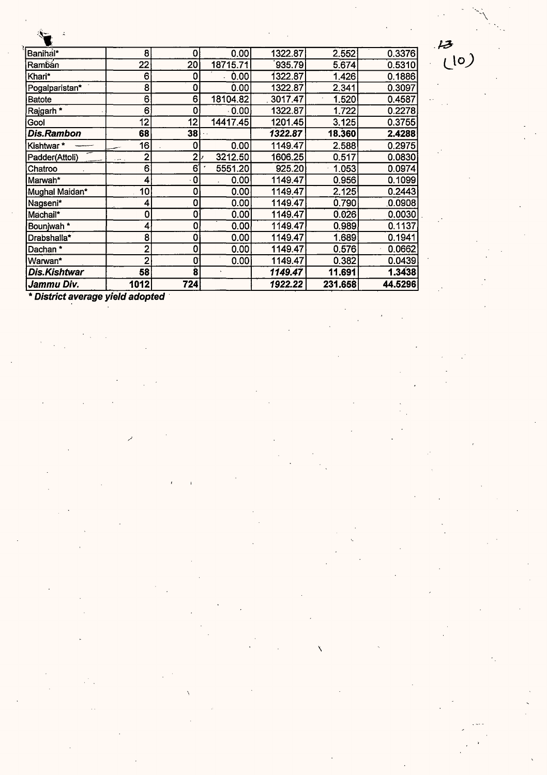| Banihal*       | 8    | 0                   | 0.00         | 1322.87 | 2.552   | 0.3376  |
|----------------|------|---------------------|--------------|---------|---------|---------|
| Rambán         | 22   | 20                  | 18715.71     | 935.79  | 5.674   | 0.5310  |
| Khari*         | 6    | 0                   | 0.00         | 1322.87 | 1.426   | 0.1886  |
| Pogalparistan* | 8    | 0                   | 0.00         | 1322.87 | 2.341   | 0.3097  |
| Batote         | 6    | 6                   | 18104.82     | 3017.47 | 1.520   | 0.4587  |
| Rajgarh *      | 6    | 0                   | $\cdot$ 0.00 | 1322.87 | 1.722   | 0.2278  |
| Gool           | 12   | 12                  | 14417.45     | 1201.45 | 3.125   | 0.3755  |
| Dis.Rambon     | 68   | 38                  |              | 1322.87 | 18.360  | 2.4288  |
| Kishtwar*      | 16   | 0                   | 0.00         | 1149.47 | 2.588   | 0.2975  |
| Padder(Attoli) | 2    | ا2                  | 3212.50      | 1606.25 | 0.517   | 0.0830  |
| Chatroo        | 6    | 6                   | 5551.20      | 925.20  | 1.053   | 0.0974  |
| lMarwah*       | 4    | 0                   | 0.00         | 1149.47 | 0.956   | 0.1099  |
| Mughal Maidan* | 10   | 0                   | 0.00         | 1149.47 | 2.125   | 0.2443  |
| Nagseni*       | 4    | 0                   | 0.00         | 1149.47 | 0.790   | 0.0908  |
| Machail*       | 0    | 0                   | 0.00         | 1149.47 | 0.026   | 0.0030  |
| Bounjwah*      |      | 0                   | 0.00         | 1149.47 | 0.989   | 0.1137  |
| Drabshalla*    | 8    | 0                   | 0.00         | 1149.47 | 1.689   | 0.1941  |
| Dachan *       |      | 0                   | 0.00         | 1149.47 | 0.576   | 0.0662  |
| Warwan*        | 2    | 0                   | 0.00         | 1149.47 | 0.382   | 0.0439  |
| Dis.Kishtwar   | 58   | $\ddot{\mathbf{g}}$ |              | 1149.47 | 11.691  | 1.3438  |
| Jammu Div.     | 1012 | 724                 |              | 1922.22 | 231.658 | 44.5296 |

 $\mathbf{v}$ 

 $\frac{13}{10}$ 

\* **District average yield adopted** ·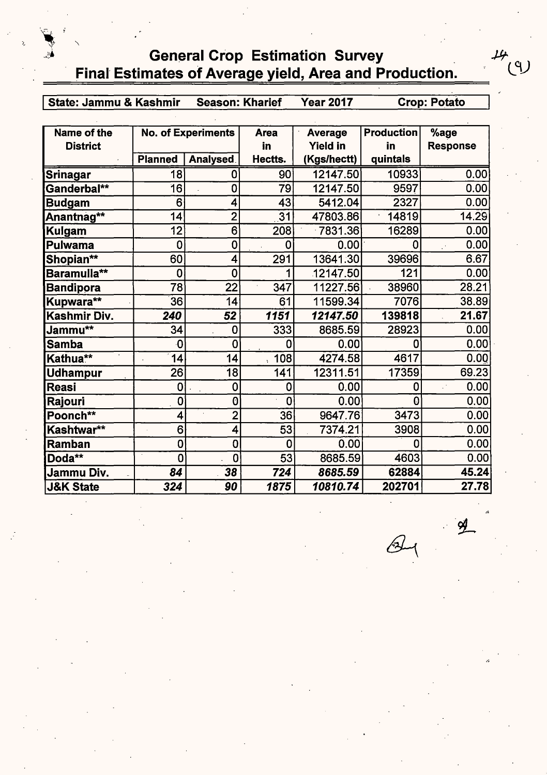# **General Crop Estimation Survey** \_ Final Estimates of Average yield, Area and Production.

I **State: Jammu** & **Kashmir Season: Kharief Year 2017 Crop: Potato** 

 $\mu_{f}$ 

L9J

| Name of the          |                | <b>No. of Experiments</b> | <b>Area</b>                 | <b>Average</b>  | <b>Production</b> | %age            |
|----------------------|----------------|---------------------------|-----------------------------|-----------------|-------------------|-----------------|
| <b>District</b>      |                |                           | in                          | <b>Yield in</b> | in                | <b>Response</b> |
|                      | <b>Planned</b> | Analysed                  | Hectts.                     | (Kgs/hectt)     | quintals          |                 |
| <b>Srinagar</b>      | 18             | 0                         | 90                          | 12147.50        | 10933             | 0.00            |
| Ganderbal**          | 16             | 0                         | 79                          | 12147.50        | 9597              | 0.00            |
| <b>Budgam</b>        | 6              | 4                         | 43                          | 5412.04         | 2327              | 0.00            |
| Anantnag**           | 14             | $\overline{2}$            | 31                          | 47803.86        | 14819             | 14.29           |
| <b>Kulgam</b>        | 12             | 6                         | 208                         | 7831.36         | 16289             | 0.00            |
| <b>Pulwama</b>       | $\mathbf 0$    | $\mathbf 0$               | 0                           | 0.00            | 0                 | 0.00            |
| Shopian**            | 60             | 4                         | 291                         | 13641.30        | 39696             | 6.67            |
| Baramulla**          | 0              | $\mathbf 0$               |                             | 12147.50        | 121               | 0.00            |
| <b>Bandipora</b>     | 78             | 22                        | 347                         | 11227.56        | 38960             | 28.21           |
| Kupwara**            | 36             | 14                        | 61                          | 11599.34        | 7076              | 38.89           |
| Kashmir Div.         | 240            | 52                        | 1151                        | 12147.50        | 139818            | 21.67           |
| Jammu**              | 34             | 0                         | 333                         | 8685.59         | 28923             | 0.00            |
| <b>Samba</b>         | 0              | 0                         | 0                           | 0.00            | 0                 | 0.00            |
| Kathua**             | 14             | 14                        | 108<br>$\ddot{\phantom{0}}$ | 4274.58         | 4617              | 0.00            |
| <b>Udhampur</b>      | 26             | 18                        | 141                         | 12311.51        | 17359             | 69.23           |
| <b>Reasi</b>         | 0              | $\mathbf 0$               | 0                           | 0.00            | 0                 | 0.00            |
| Rajouri              | 0              | 0                         | 0                           | 0.00            | 0                 | 0.00            |
| Poonch**             | 4              | $\overline{2}$            | 36                          | 9647.76         | 3473              | 0.00            |
| Kashtwar**           | 6              | 4                         | 53                          | 7374.21         | 3908              | 0.00            |
| Ramban               | 0              | 0                         | 0                           | 0.00            | 0                 | 0.00            |
| Doda**               | $\mathbf 0$    | $\bf{0}$                  | 53                          | 8685.59         | 4603              | 0.00            |
| Jammu Div.           | 84             | 38                        | 724                         | 8685.59         | 62884             | 45.24           |
| <b>J&amp;K State</b> | 324            | 90                        | 1875                        | 10810.74        | 202701            | 27.78           |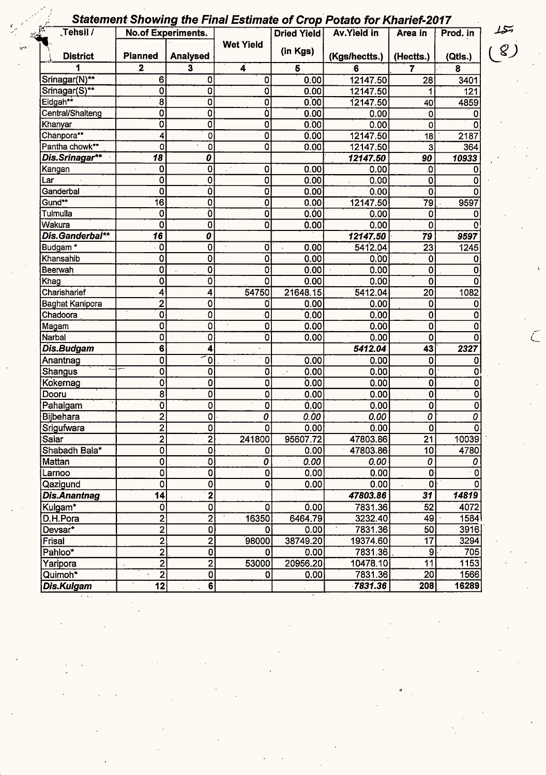## Statement Showing the Final Estimate of Crop Potato for Kharief-2017

| 疆<br>Tehsil /          |                           | <b>No.of Experiments.</b>            |                         | <b>Dried Yield</b> | <b>Av.Yield in</b> | Area in                 | Prod. in       | سكيله          |
|------------------------|---------------------------|--------------------------------------|-------------------------|--------------------|--------------------|-------------------------|----------------|----------------|
| <b>District</b>        | <b>Planned</b>            | <b>Analysed</b>                      | <b>Wet Yield</b>        | (in Kgs)           | (Kgs/hectts.)      | (Hectts.)               | (Qtls.)        | 8 <sub>l</sub> |
|                        | $\overline{2}$            | 3                                    | 4                       | $5\phantom{1}$     | 6                  | 7                       | 8              |                |
| Srinagar(N)**          | 6                         | 0                                    | 0                       | 0.00               | 12147.50           | 28                      | 3401           |                |
| Srinagar(S)**          | 0                         | 0                                    | Ó                       | 0.00               | 12147.50           | 1                       | 121            |                |
| Eidgah**               | 8                         | 0                                    | O                       | 0.00               | 12147.50           | 40                      | 4859           |                |
| Central/Shalteng       | 0                         | 0                                    | Ó                       | 0.00               | 0.00               | 0                       |                |                |
| Khanyar                | ō                         | Ō                                    | 0                       | 0.00               | 0.00               | $\mathbf 0$             |                |                |
| Chanpora <sup>**</sup> | 4                         | $\mathbf 0$                          | 0                       | 0.00               | 12147.50           | 18                      | 2187           |                |
| Pantha chowk**         | $\overline{0}$            | $\mathbf 0$                          | Ō                       | 0.00               | 12147.50           | 3                       | 364            |                |
| Dis.Srinagar**         | $\overline{18}$           | $\overline{\boldsymbol{\mathit{o}}}$ |                         |                    | 12147.50           | 90                      | 10933          |                |
| Kangan                 | 0                         | O                                    | 0                       | 0.00               | 0.00               | 0.                      |                |                |
| Lar                    | 0                         | 0                                    | $\overline{0}$          | 0.00               | 0.00               | 0                       | 0              |                |
| Ganderbal              | $\overline{0}$            | Ò                                    | 0                       | 0.00               | 0.00               | 0                       |                |                |
| Gund**                 | $\overline{16}$           | 0                                    | $\overline{\mathbf{0}}$ | 0.00               | 12147.50           | 79                      | 9597           |                |
| Tulmulla               | 0                         | Ò                                    | $\overline{\mathbf{0}}$ | 0.00               | 0.00               | 0                       |                |                |
| Wakura                 | 0                         | Ò                                    | $\overline{\mathbf{0}}$ | 0.00               | 0.00               | 0                       |                |                |
| Dis.Ganderbal**        | $\overline{\bf 16}$       | $\boldsymbol{o}$                     |                         |                    | 12147.50           | 79                      | 9597           |                |
| Budgam <sup>*</sup>    | $\mathbf 0$               | 0                                    | 0                       | 0.00               | 5412.04            | 23                      | 1245           |                |
| Khansahib              | Ò                         | 0                                    | 0                       | 0.00               | 0.00               | 0                       | Ω              |                |
| Beerwah                | 0                         | 0                                    | 0                       | 0.00               | 0.00               | 0                       |                |                |
| Khag                   | Ó.                        | 0                                    | $\overline{0}$          | 0.00               | 0.00               | 0                       |                |                |
| Charisharief           | 4                         | 4                                    | 54750                   | 21648.15           | 5412.04            | 20                      | 1082           |                |
| Baghat Kanipora        | $\overline{2}$            | 0                                    | 0                       | 0.00               | 0.00               | $\overline{0}$          |                |                |
| Chadoora               | Ó                         | 0                                    | 0                       | 0.00               | 0.00               | Ò                       |                |                |
| Magam                  | 0                         | 0                                    | $\epsilon$<br>0         | 0.00               | 0.00               | $\mathbf 0$             |                |                |
| Narbal                 | 0                         | 0                                    | ō                       | 0.00               | 0.00               | 0                       |                |                |
| Dis.Budgam             | 6 <sup>2</sup>            | 4                                    |                         |                    | 5412.04            | 43                      | 2327           |                |
| Anantnag               | 0                         | 0                                    | 0                       | 0.00               | 0.00               | Ò                       | 0              |                |
| Shangus                | $\mathbf 0$               | $\mathbf 0$                          | 0                       | 0.00               | 0.00               | 0                       | 0              |                |
| Kokernag               | $\mathbf 0$               | $\mathbf 0$                          | 0                       | 0.00               | 0.00               | 0                       | 0              |                |
| Dooru                  | $\overline{8}$            | Ő                                    | 0                       | 0.00               | 0.00               | $\overline{\mathbf{0}}$ |                |                |
| Pahalgam               | $\overline{\mathfrak{o}}$ | $\mathbf 0$                          | $\overline{\mathbf{0}}$ | 0.00               | 0.00               | $\overline{0}$          | 0              |                |
| Bijbehara              | $\overline{2}$            | 0                                    | 0                       | 0.00               | 0.00               | 0                       | 0              |                |
| Srigufwara             | $\overline{2}$            | 0                                    | 0                       | 0.00               | 0.00               | 0                       | 0              |                |
| Salar                  | $\overline{2}$            | $2\vert$                             | 241800                  | 95607.72           | 47803.86           | 21                      | 10039          |                |
| Shabadh Bala*          | 0                         | 0                                    | $\Omega$                | 0.00               | 47803.86           | 10 <sub>1</sub>         | 4780           |                |
| Mattan                 | $\overline{\mathbf{0}}$   | $\mathbf{0}$                         | 0                       | 0.00               | 0.00               | 0                       | 0              |                |
| Larnoo                 | $\overline{0}$            | $\overline{0}$                       | $\overline{0}$          | 0.00               | 0.00               | 0                       | $\overline{0}$ |                |
| Qazigund               | 0                         | 0                                    | 0                       | 0.00               | 0.00               | $\mathbf 0$             | $\Omega$       |                |
| <b>Dis.Anantnag</b>    | $\overline{14}$           | $\overline{2}$                       |                         |                    | 47803.86           | 31                      | 14819          |                |
| Kulgam*                | Ó                         | 0                                    | O                       | 0.00               | 7831.36            | 52                      | 4072           |                |
| D.H.Pora               | 2                         | $\overline{2}$                       | 16350                   | 6464.79            | 3232.40            | 49                      | 1584           |                |
| Devsar*                | $\overline{2}$            | 0                                    | 0                       | 0.00               | 7831.36            | 50                      | 3916           |                |
| Frisal                 | $\overline{\mathbf{c}}$   | $\mathbf{2}$                         | 98000                   | 38749.20           | 19374.60           | $\overline{17}$         | 3294           |                |
| Pahloo*                | $\overline{2}$            | 0                                    | O.                      | 0.00               | 7831.36            | 9                       | 705            |                |
| Yaripora               | $\overline{2}$            | $\overline{2}$                       | 53000                   | 20956.20           | 10478.10           | 11                      | 1153           |                |
| Quimoh <sup>*</sup>    | $\overline{2}$            | 0                                    | 0                       | 0.00               | 7831.36            | 20                      | 1566           |                |
| Dis.Kulgam             | $\overline{12}$           | 6                                    |                         |                    | 7831.36            | 208                     | 16289          |                |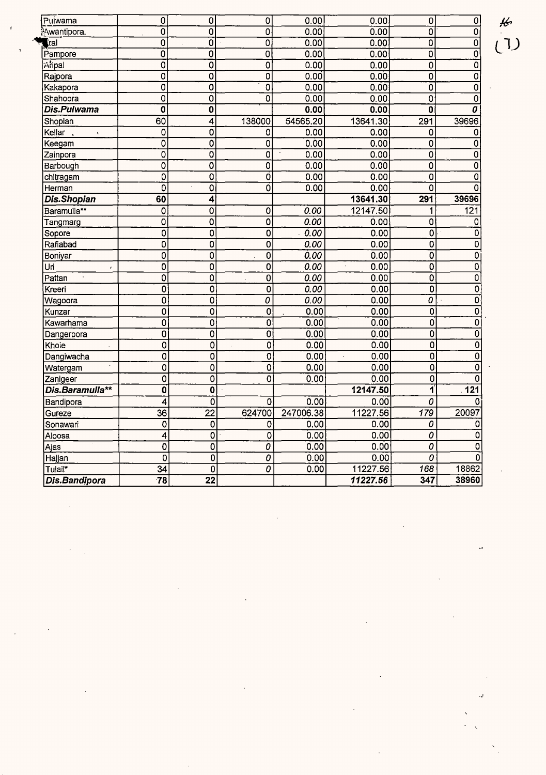| Pulwama                      | 0                         | 0                         | 0                         | 0.00      | 0.00                         | $\mathbf 0$               | 0                         |
|------------------------------|---------------------------|---------------------------|---------------------------|-----------|------------------------------|---------------------------|---------------------------|
| <sup>3</sup> Awantipora.     | $\overline{0}$            | $\overline{0}$            | $\overline{0}$            | 0.00      | 0.00                         | $\overline{0}$            | 0                         |
| $\blacksquare$ ral           | $\overline{0}$            | $\overline{0}$            | $\overline{0}$            | 0.00      | 0.00                         | $\overline{\mathbf{0}}$   | $\mathbf 0$               |
| Pampore                      | $\overline{0}$            | $\overline{\mathbf{0}}$   | $\overline{\mathfrak{o}}$ | 0.00      | 0.00                         | $\overline{0}$            | $\overline{0}$            |
| Aripal                       | $\overline{0}$            | $\overline{0}$            | $\overline{0}$            | 0.00      | 0.00                         | $\overline{0}$            | $\overline{0}$            |
| Rajpora                      | $\overline{0}$            | $\overline{0}$            | $\overline{0}$            | 0.00      | 0.00                         | 0                         | 0                         |
| Kakapora                     | $\overline{\mathfrak{o}}$ | $\overline{0}$            | $\overline{\mathfrak{o}}$ | 0.00      | 0.00                         | $\overline{\mathfrak{o}}$ | 0                         |
| Shahoora                     | $\overline{0}$            | $\overline{0}$            | $\overline{\mathfrak{o}}$ | 0.00      | 0.00                         | 0                         | 0                         |
| <b>Dis.Pulwama</b>           | $\mathbf 0$               | $\overline{\mathbf{0}}$   |                           | 0.00      | 0.00                         | $\overline{0}$            | O                         |
| Shopian                      | 60                        | $\overline{4}$            | 138000                    | 54565.20  | 13641.30                     | 291                       | 39696                     |
| Kellar<br>$\bar{\mathbf{v}}$ | 0                         | $\overline{0}$            | 0                         | 0.00      | 0.00                         | 0                         | 0                         |
| Keegam                       | $\overline{0}$            | $\overline{0}$            | $\overline{0}$            | 0.00      | 0.00                         | $\overline{0}$            | $\overline{0}$            |
| Zainpora                     | $\overline{0}$            | $\overline{0}$            | $\overline{\mathfrak{o}}$ | 0.00      | 0.00                         | $\overline{0}$            | 0                         |
| Barbough                     | 0                         | $\overline{0}$            | $\overline{0}$            | 0.00      | 0.00                         | 0                         | 0                         |
| chitragam                    | $\overline{0}$            | $\overline{\mathfrak{o}}$ | ō                         | 0.00      | 0.00                         | 0                         | 0                         |
| Herman                       | $\overline{0}$            | $\overline{\mathfrak{o}}$ | ō                         | 0.00      | 0.00                         | $\overline{0}$            | 0                         |
| <b>Dis.Shopian</b>           | 60                        | $\overline{\mathbf{4}}$   |                           |           | 13641.30                     | 291                       | 39696                     |
| Baramulla**                  | 0                         | $\overline{0}$            | $\overline{\mathfrak{o}}$ | 0.00      | 12147.50                     | 1                         | 121                       |
| Tangmarg                     | 0                         | $\overline{0}$            | $\overline{0}$            | 0.00      | 0.00                         | 0                         | 0                         |
| Sopore                       | $\overline{0}$            | $\overline{0}$            | $\overline{\mathbf{0}}$   | 0.00      | 0.00                         | $\overline{0}$            | $\overline{0}$            |
| Rafiabad                     | $\overline{0}$            | $\overline{0}$            | $\overline{0}$            | 0.00      | 0.00                         | $\overline{0}$            | $\overline{0}$            |
| Boniyar                      | 0                         | $\overline{0}$            | $\overline{0}$            | 0.00      | 0.00                         | 0                         | $\mathbf 0$               |
| Uri<br>$\bar{z}$             | $\overline{\mathfrak{o}}$ | $\overline{\mathbf{0}}$   | $\overline{\mathbf{0}}$   | 0.00      | 0.00<br>$\ddot{\phantom{0}}$ | $\overline{0}$            | 0                         |
| Pattan                       | $\overline{0}$            | 0                         | O                         | 0.00      | 0.00                         | $\overline{0}$            | $\overline{0}$            |
| Kreeri                       | $\overline{\mathfrak{o}}$ | 0                         | $\overline{0}$            | 0.00      | 0.00                         | $\overline{\mathbf{0}}$   | 0                         |
| Wagoora                      | $\overline{0}$            | $\overline{\mathbf{c}}$   | $\overline{o}$            | 0.00      | 0.00                         | $\overline{o}$            | $\overline{\mathfrak{o}}$ |
| Kunzar                       | $\overline{0}$            | 0                         | 0                         | 0.00      | 0.00                         | 0                         | 0                         |
| Kawarhama                    | $\overline{\mathbf{o}}$   | 0                         | 0                         | 0.00      | 0.00                         | $\overline{0}$            | $\overline{0}$            |
| Dangerpora                   | $\overline{0}$            | $\overline{0}$            | $\overline{0}$            | 0.00      | 0.00                         | $\overline{\mathfrak{o}}$ | $\overline{0}$            |
| Khoie                        | 0                         | 0                         | 0                         | 0.00      | 0.00                         | $\overline{0}$            | 0                         |
| Dangiwacha                   | $\overline{0}$            | $\overline{0}$            | $\overline{0}$            | 0.00      | 0.00<br>$\epsilon$           | $\overline{0}$            | 0                         |
| Watergam                     | 0                         | 0                         | 0                         | 0.00      | 0.00                         | 0                         | 0                         |
| Zanigeer                     | $\overline{0}$            | $\overline{0}$            | $\overline{\mathfrak{o}}$ | 0.00      | 0.00                         | 0                         | 0                         |
| Dis.Baramulla**              | $\overline{\mathbf{0}}$   | $\overline{\mathbf{0}}$   |                           |           | 12147.50                     | Ï                         | 121                       |
| Bandipora                    | 4                         | $\overline{0}$            | 0                         | 0.00      | 0.00                         | $\overline{o}$            | 0                         |
| Gureze                       | $\overline{36}$           | $\overline{22}$           | 624700                    | 247006.38 | 11227.56                     | 179                       | 20097                     |
| Sonawari                     | $\mathbf 0$               | 0                         | 0                         | 0.00      | 0.00                         | 0                         | 0                         |
| Aloosa                       | 4                         | $\overline{0}$            | 0                         | 0.00      | 0.00                         | $\overline{o}$            | 0                         |
| Ajas                         | $\mathbf 0$               | 0                         | 0                         | 0.00      | 0.00                         | 0                         | 0                         |
| Hajjan                       | 0                         | $\overline{0}$            | $\overline{o}$            | 0.00      | 0.00                         | 0                         | 0                         |
| Tulail*                      | 34                        | 0                         | 0                         | 0.00      | 11227.56                     | 168                       | 18862                     |
| Dis.Bandipora                | $\overline{78}$           | $\overline{22}$           |                           |           | 11227.56                     | 347                       | 38960                     |

 $\frac{1}{2}$ (T)

a,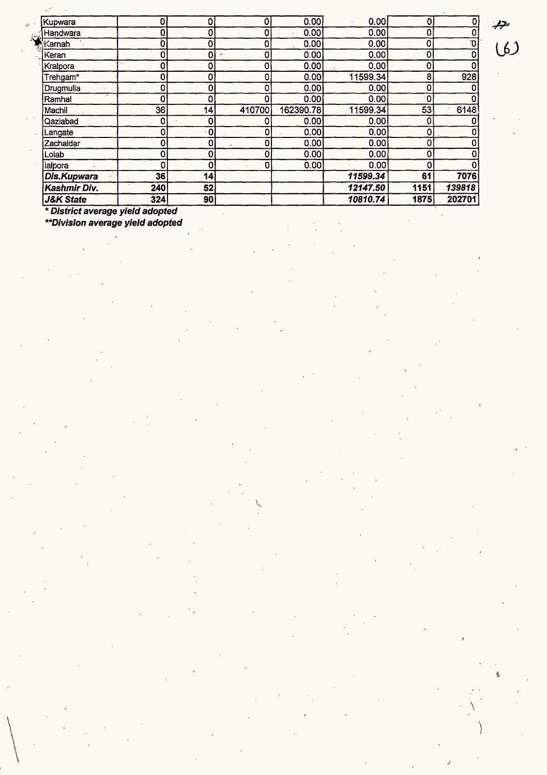| * District average yield adopted |     |                |             |           |          |      |        |
|----------------------------------|-----|----------------|-------------|-----------|----------|------|--------|
| <b>J&amp;K State</b>             | 324 | 90             |             |           | 10810.74 | 1875 | 202701 |
| Kashmir Div.                     | 240 | 52             |             |           | 12147.50 | 1151 | 139818 |
| Dis.Kupwara                      | 36  | 14             |             |           | 11599.34 | 61   | 7076   |
| lalpora                          | O   | 0 <sup>1</sup> | 0           | 0.00      | 0.00     | O    |        |
| Lolab                            | 0   | 0              | 0           | 0.00      | 0.00     | 0    |        |
| Zachaldar                        | 0   | 0 <sub>1</sub> | 0           | 0.00      | 0.00     | 0    |        |
| Langate                          | 0   | $-01$          | 0           | 0.00      | 0.00     | ٥    |        |
| Qaziabad                         | 0   | 0              | 0           | 0.00      | 0.00     | 0    |        |
| Machil                           | 36  | 14             | 410700      | 162390.78 | 11599.34 | 53   | 6148   |
| Ramhal                           | 0   | 0              | Ò           | 0.00      | 0.00     | ۰0.  |        |
| Drugmulla                        | 0   | 0              | 0           | 0.00      | 0.00     | 0    |        |
| Trehgam*                         | 0   | 0              | 0           | 0.00      | 11599.34 | 8    | 928    |
| Kralpora                         | 0   | ٥              | 0           | 0.00      | 0.00     | 0    |        |
| Keran                            | 0   | 0              | $\mathbf 0$ | 0.00      | 0.00     | 0    |        |
| √≾arnah                          | Ò   | 0              | 0           | 0.00      | 0.00     | ٥    | .0     |
| Handwara                         | 0   | 0              | 0           | 0.00      | 0.00     | Ω    |        |
| Kupwara                          | 0   | 0              | 0           | 0.00      | 0.00     | 0    | 0      |

 $\tilde{\mathbf{v}}$ 

 $\begin{pmatrix} 1 & 1 \\ 1 & 1 \\ 1 & 1 \end{pmatrix}$ 

**\*\*Division average yield adopted** 

 $7.000$ 

 $\setminus$ 

 $\dot{\phi}$ 

J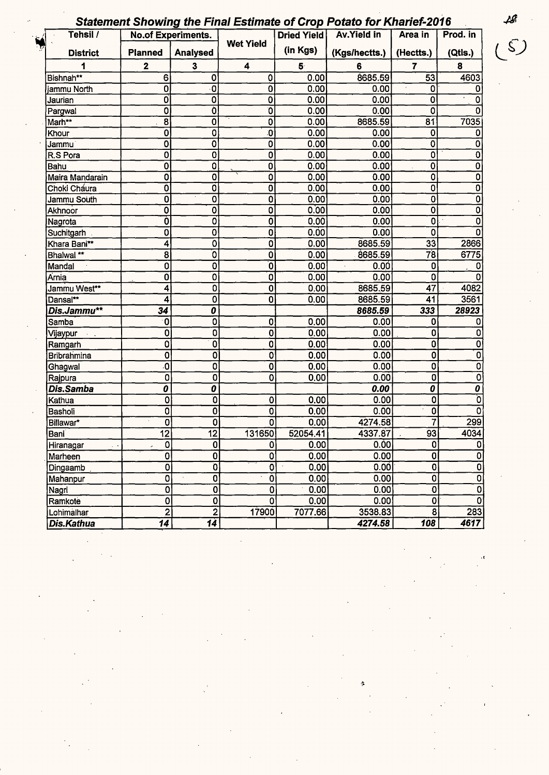|  | Statement Showing the Final Estimate of Crop Potato for Kharief-2016 |  |  |
|--|----------------------------------------------------------------------|--|--|
|  |                                                                      |  |  |

| Tehsil /           |                           | <b>No.of Experiments.</b> |                         | Dried Yield    | <b>Av.Yield in</b> | Area in                                | Prod. in                         |
|--------------------|---------------------------|---------------------------|-------------------------|----------------|--------------------|----------------------------------------|----------------------------------|
| <b>District</b>    | <b>Planned</b>            | Analysed                  | <b>Wet Yield</b>        | (in Kgs)       | (Kgs/hectts.)      | (Hectts.)                              | (Qtls.)                          |
|                    | $\mathbf 2$               | $\overline{\mathbf{3}}$   | 4                       | 5 <sup>°</sup> | 6                  | $\overline{7}$                         | 8                                |
| Bishnah**          | 6                         | 0                         | 0                       | 0.00           | 8685.59            | 53                                     | 4603                             |
| jammu North        | 0                         | 0                         | 0                       | 0.00           | 0.00               | 0                                      | O                                |
| Jaurian            | 0                         | 0                         | 0                       | 0.00           | 0.00               | 0                                      | 0                                |
| Pargwal            | 0                         | Ò.                        | O                       | 0.00           | 0.00               | $\mathbf 0$                            | 0                                |
| Marh**             | 8                         | 0                         | 0                       | 0.00           | 8685.59            | 81                                     | 7035                             |
| Khour              | 0                         | 0                         | O                       | 0.00           | 0.00               | 0                                      | 0                                |
| Jammu              | 0                         | 0                         | 0                       | 0.00           | 0.00               | 0                                      | 0                                |
| R.S Pora           | 0                         | 0                         | 0                       | 0.00           | 0.00               | $\overline{0}$                         | 0                                |
| Bahu               | 0                         | 0                         | 0                       | 0.00           | 0.00               | $\overline{0}$                         | 0                                |
| Maira Mandarain    | 0                         | 0                         | 0                       | 0.00           | 0.00               | $\overline{\mathbf{0}}$                | $\overline{0}$                   |
| Choki Cháura       | 0                         | 0                         | 0                       | 0.00           | 0.00               | $\overline{\mathbf{0}}$                | $\overline{\mathfrak{o}}$        |
| Jammu South        | 0                         | 0                         | 0                       | 0.00           | 0.00               | $\overline{0}$                         | O                                |
| Akhnoor            | $\overline{\mathfrak{o}}$ | O                         | 0                       | 0.00           | 0.00               | $\overline{\mathbf{0}}$                | $\overline{\mathfrak{o}}$        |
| Nagrota            | Ò                         | 0                         | 0                       | 0.00           | 0.00               | 0                                      | 0                                |
| Suchitgarh         | 0                         | 0                         | 0                       | 0.00           | 0.00               | 0                                      | 0                                |
| Khara Bani**       | 4                         | 0                         | 0                       | 0.00           | 8685.59            | 33                                     | 2866                             |
| Bhalwal **         | 8                         | Ō                         | $\overline{0}$          | 0.00           | 8685.59            | $\overline{78}$                        | 6775                             |
| Mandal             | 0                         | 0                         | $\overline{\mathbf{0}}$ | 0.00           | 0.00               | 0                                      | 0                                |
| Arnia              | 0                         | 0                         | $\overline{0}$          | 0.00           | 0.00               | 0                                      | 0                                |
| Jammu West**       | 4                         | 0                         | 0                       | 0.00           | 8685.59            | 47                                     | 4082                             |
| Dansal**           | 4                         | $\bf{0}$                  | 0                       | 0.00           | 8685.59            | 41                                     | 3561                             |
| Dis.Jammu**        | 34                        | 0                         |                         |                | 8685.59            | 333                                    | 28923                            |
| Samba              | $\mathbf 0$               | 0                         | 0                       | 0.00           | 0.00               | 0                                      | 0                                |
| Vijaypur           | 0                         | 0                         | 0                       | 0.00           | 0.00               | 0                                      | 0                                |
| Ramgarh            | 0                         | $\overline{0}$            | 0                       | 0.00           | 0.00               | $\overline{\mathbf{0}}$                | 0                                |
| <b>Bribrahmina</b> | $\mathbf 0$               | O                         | O                       | 0.00           | 0.00               | $\overline{0}$                         | $\overline{\mathbf{0}}$          |
| Ghagwal            | ō.                        | 0                         | 0                       | 0.00           | 0.00               | $\overline{\mathbf{0}}$                | $\overline{\mathbf{0}}$          |
| Rajpura            | $\overline{\mathbf{0}}$   | $\mathbf 0$               | 0                       | 0.00           | 0.00               | 0                                      | $\overline{\mathbf{0}}$          |
| Dis.Samba          | 0                         | 0                         |                         |                | 0.00               | $\overline{\boldsymbol{\mathfrak{o}}}$ | $\overline{\boldsymbol{\theta}}$ |
| Kathua             | 0                         | ō                         | 0                       | 0.00           | 0.00               | 0                                      | Ō                                |
| Basholi            | $\overline{0}$            | $\mathbf 0$               | 0                       | 0.00           | $0.\overline{0}0$  | 0                                      | $\overline{\mathfrak{o}}$        |
| Billawar*          | $\mathbf 0$               | $\mathbf 0$               | 0                       | 0.00           | 4274.58            | 7                                      | 299                              |
| Bani               | $\overline{12}$           | $\overline{12}$           | 131650                  | 52054.41       | 4337.87            | $\overline{93}$                        | 4034                             |
| Hiranagar          | $\overline{0}$            | $\overline{0}$            | $\mathbf{0}$            | 0.00           | 0.00               | 0                                      | O                                |
| Marheen            | $\overline{0}$            | $\pmb{0}$                 | 0                       | 0.00           | 0.00               | $\overline{0}$                         | $\pmb{0}$                        |
| Dingaamb           | $\overline{0}$            | $\overline{\mathbf{0}}$   | 0                       | 0.00           | 0.00               | $\overline{\mathbf{0}}$                | $\overline{0}$                   |
| Mahanpur           | 0                         | $\overline{\mathbf{0}}$   | $\overline{0}$          | 0.00           | 0.00               | $\overline{\mathfrak{o}}$              | $\overline{\mathbf{0}}$          |
| Nagri              | $\overline{\mathbf{0}}$   | $\overline{\mathbf{0}}$   | O                       | 0.00           | 0.00               | $\overline{\mathfrak{o}}$              | $\overline{\mathbf{0}}$          |
| Ramkote            | $\overline{\mathbf{0}}$   | $\overline{0}$            | Ō                       | 0.00           | 0.00               | $\overline{0}$                         | Ò                                |
| Lohimalhar         | $\overline{2}$            | $\overline{2}$            | 17900                   | 7077.66        | 3538.83            | $\overline{\mathbf{8}}$                | 283                              |
| Dis.Kathua         | $\overline{14}$           | $\overline{14}$           |                         |                | 4274.58            | 108                                    | 4617                             |

 $\frac{d}{dt} \left( \frac{d}{dt} \right) = \frac{1}{2\pi} \left( \frac{d}{dt} \right)$ 

 $18$ <br> $(5)$ 

"

s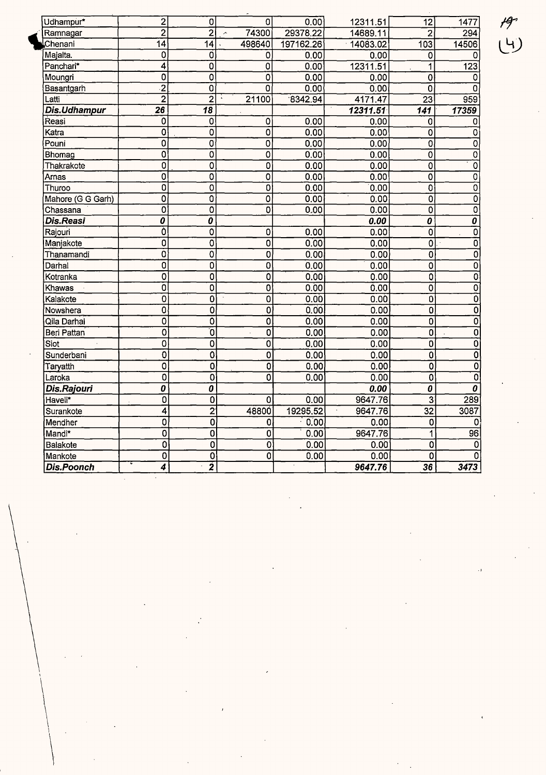| Udhampur*         | 2                                | 0                         | $\overline{0}$            | 0.00      | 12311.51 | 12                        | 1477                      |
|-------------------|----------------------------------|---------------------------|---------------------------|-----------|----------|---------------------------|---------------------------|
| Ramnagar          | $\overline{2}$                   | $\overline{2}$            | 74300                     | 29378.22  | 14689.11 | $\overline{2}$            | 294                       |
| Chenani           | $\overline{14}$                  | $\overline{14}$           | 498640                    | 197162.26 | 14083.02 | 103                       | 14506                     |
| Majalta.          | 0                                | Ó                         | 0                         | 0.00      | 0.00     | 0                         | Ω                         |
| Panchari*         | 4                                | 0                         | 0                         | 0.00      | 12311.51 | 1                         | 123                       |
| Moungri           | $\overline{0}$                   | $\overline{0}$            | $\overline{0}$            | 0.00      | 0.00     | $\overline{0}$            | 0                         |
| Basantgarh        | $\overline{2}$                   | Ö                         | $\Omega$                  | 0.00      | 0.00     | $\overline{\mathbf{0}}$   | Ω                         |
| Latti             | $\overline{2}$                   | $\overline{2}$            | 21100                     | 8342.94   | 4171.47  | $\overline{23}$           | 959                       |
| Dis.Udhampur      | $\overline{26}$                  | 18                        |                           |           | 12311.51 | 141                       | 17359                     |
| Reasi             | 0                                | 0                         | $\mathbf 0$               | 0.00      | 0.00     | 0                         | 0                         |
| Katra             | 0                                | 0                         | $\overline{0}$            | 0.00      | 0.00     | $\overline{\mathbf{0}}$   | 0                         |
| Pouni             | $\mathbf 0$                      | 0                         | $\overline{\mathfrak{o}}$ | 0.00      | 0.00     | 0                         | 0                         |
| Bhomag            | O                                | $\mathbf 0$               | 0                         | 0.00      | 0.00     | $\overline{\mathbf{0}}$   | 0                         |
| Thakrakote        | 0                                | $\overline{0}$            | Ö                         | 0.00      | 0.00     | $\overline{\mathfrak{o}}$ | 0                         |
| Arnas             | $\overline{0}$                   | $\overline{\mathfrak{o}}$ | $\overline{\mathfrak{o}}$ | 0.00      | 0.00     | $\overline{\mathfrak{o}}$ | O                         |
| Thuroo            | $\overline{0}$                   | Ò                         | $\overline{\mathfrak{o}}$ | 0.00      | 0.00     | $\overline{\mathbf{0}}$   | Ō                         |
| Mahore (G G Garh) | $\overline{0}$                   | $\overline{\mathfrak{o}}$ | $\overline{\mathfrak{o}}$ | 0.00      | 0.00     | $\overline{0}$            | 0                         |
| Chassana          | $\overline{0}$                   | $\overline{0}$            | $\overline{\mathfrak{o}}$ | 0.00      | 0.00     | 0                         | $\overline{0}$            |
| <b>Dis.Reasi</b>  | $\overline{\boldsymbol{\theta}}$ | 0                         |                           |           | 0.00     | 0                         | 0                         |
| Rajouri           | Ò                                | $\overline{0}$            | $\overline{0}$            | 0.00      | 0.00     | $\overline{0}$            | 0                         |
| Manjakote         | $\overline{0}$                   | $\overline{0}$            | $\overline{0}$            | 0.00      | 0.00     | $\overline{\mathfrak{o}}$ | $\overline{\mathfrak{o}}$ |
| Thanamandi        | $\overline{\mathfrak{o}}$        | $\overline{0}$            | $\overline{\mathbf{0}}$   | 0.00      | 0.00     | O                         | $\overline{0}$            |
| Darhal            | 0                                | O                         | Ö                         | 0.00      | 0.00     | 0                         | Ó                         |
| Kotranka          | $\overline{\mathfrak{o}}$        | 0                         | Ō                         | 0.00      | 0.00     | Q                         | 0                         |
| Khawas            | $\overline{\mathfrak{o}}$        | $\overline{0}$            | $\overline{\mathbf{0}}$   | 0.00      | 0.00     | 0                         | $\overline{0}$            |
| Kalakote          | $\overline{\mathbf{0}}$          | $\overline{\mathbf{0}}$   | $\overline{0}$            | 0.00      | 0.00     | $\overline{0}$            | $\overline{0}$            |
| Nowshera          | 0                                | 0                         | $\overline{0}$            | 0.00      | 0.00     | 0                         | $\overline{\mathfrak{o}}$ |
| Qila Darhal       | 0                                | $\overline{0}$            | $\overline{0}$            | 0.00      | 0.00     | 0                         | $\overline{0}$            |
| Beri Pattan       | $\overline{0}$                   | ō                         | 0                         | 0.00      | 0.00     | 0                         | $\overline{0}$            |
| Siot              | $\overline{0}$                   | $\overline{\mathfrak{o}}$ | $\overline{\mathfrak{o}}$ | 0.00      | 0.00     | $\overline{\mathfrak{o}}$ | ō                         |
| Sunderbani        | $\overline{0}$                   | $\overline{\mathbf{o}}$   | $\overline{0}$            | 0.00      | 0.00     | 0                         | ō                         |
| Taryatth          | $\mathbf 0$                      | 0                         | ō                         | 0.00      | 0.00     | $\overline{\mathfrak{o}}$ | $\overline{\mathfrak{o}}$ |
| Laroka            | $\overline{0}$                   | Ō                         | $\overline{\mathbf{0}}$   | 0.00      | 0.00     | $\overline{0}$            | $\overline{\mathfrak{o}}$ |
| Dis.Rajouri       | 0                                | 0                         |                           |           | 0.00     | 0                         | 0                         |
| Haveli*           | $\overline{\mathfrak{o}}$        | $\overline{\mathfrak{o}}$ | 0                         | 0.00      | 9647.76  | $\overline{\mathbf{3}}$   | 289                       |
| Surankote         | 4                                | $\overline{2}$            | 48800                     | 19295.52  | 9647.76  | $\overline{32}$           | 3087                      |
| Mendher           | 0                                | 0                         | 0                         | 0.00      | 0.00     | 0                         | 0                         |
| Mandi*            | $\overline{0}$                   | 0                         | Ō                         | 0.00      | 9647.76  | 1                         | 96                        |
| Balakote          | Ō                                | 0                         | 0                         | 0.00      | 0.00     | 0                         | 0                         |
| Mankote           | $\overline{0}$                   | $\overline{\mathfrak{o}}$ | $\overline{\mathfrak{o}}$ | 0.00      | 0.00     | 0                         | 0                         |
| <b>Dis.Poonch</b> | 4                                | $\overline{\mathbf{2}}$   |                           |           | 9647.76  | $\overline{36}$           | 3473                      |

 $79$ <br>(4)

'<br>'

 $\begin{picture}(220,20) \put(0,0){\dashbox{0.5}(20,0){ }} \put(15,0){\dashbox{0.5}(20,0){ }} \put(25,0){\dashbox{0.5}(20,0){ }} \put(25,0){\dashbox{0.5}(20,0){ }} \put(25,0){\dashbox{0.5}(20,0){ }} \put(25,0){\dashbox{0.5}(20,0){ }} \put(25,0){\dashbox{0.5}(20,0){ }} \put(25,0){\dashbox{0.5}(20,0){ }} \put(25,0){\dashbox{0.5}(20,0){ }} \put(25,0){\dashbox$ 

 $\begin{pmatrix} 1 & 1 \\ 1 & 1 \end{pmatrix}$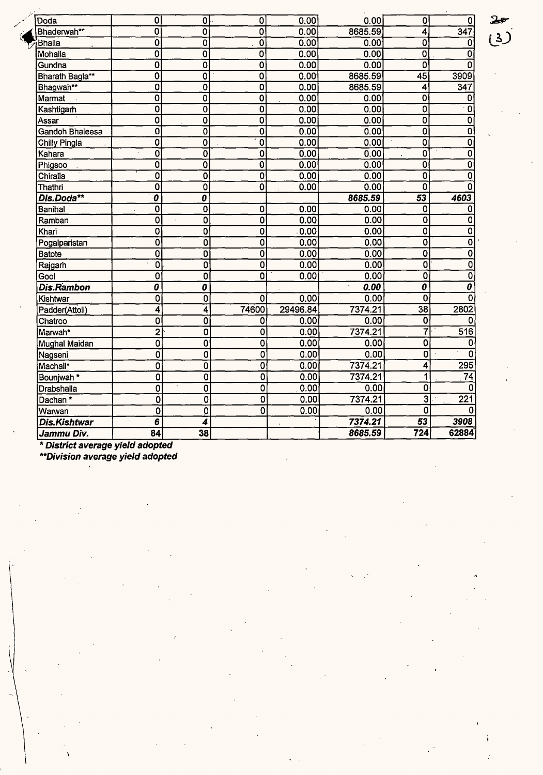| Doda                  | $\overline{\mathbf{o}}$                | $\overline{0}$              | 0                         | 0.00     | 0.00              | $\overline{\mathfrak{o}}$   | 0                         |
|-----------------------|----------------------------------------|-----------------------------|---------------------------|----------|-------------------|-----------------------------|---------------------------|
| Bhaderwah**           | $\overline{0}$                         | 0                           | $\overline{\mathfrak{o}}$ | 0.00     | 8685.59           | 4                           | 347                       |
| Bhalla                | $\overline{\mathbf{0}}$                | Ō                           | $\overline{\mathfrak{o}}$ | 0.00     | 0.00              | 0                           | 0                         |
| Mohalla               | Ō                                      | $\overline{\mathfrak{o}}$   | $\overline{\mathbf{0}}$   | 0.00     | 0.00              | $\overline{\mathfrak{o}}$   | 0                         |
| Gundna                | O                                      | $\overline{\mathbf{0}}$     | $\overline{\mathfrak{o}}$ | 0.00     | 0.00              | 0                           | n                         |
| Bharath Bagla**       | 0                                      | Ō                           | $\overline{\mathbf{0}}$   | 0.00     | 8685.59           | $\overline{45}$             | 3909                      |
| Bhagwah**             | Ō                                      | 0                           | $\overline{\mathbf{0}}$   | 0.00     | 8685.59           | 4                           | 347                       |
| Marmat                | $\overline{\mathbf{0}}$                | 0                           | $\overline{\mathbf{0}}$   | 0.00     | 0.00              | 0                           | 0                         |
| Kashtigarh            | $\overline{\mathbf{0}}$                | $\overline{0}$              | $\overline{\mathfrak{o}}$ | 0.00     | 0.00              | $\overline{0}$              | 0                         |
| Assar                 | $\overline{\mathfrak{o}}$              | $\overline{0}$              | $\overline{\mathfrak{o}}$ | 0.00     | 0.00              | $\overline{\mathfrak{o}}$   | $\overline{0}$            |
| Gandoh Bhaleesa       | Ō                                      | $\overline{\mathfrak{o}}$   | $\overline{\mathfrak{o}}$ | 0.00     | 0.00              | $\overline{\mathfrak{o}}$   | $\overline{\mathfrak{o}}$ |
| Chilly Pingla         | Ö                                      | 0                           | $\overline{\mathfrak{o}}$ | 0.00     | 0.00              | 0                           | $\overline{0}$            |
| Kahara                | Ō                                      | $\overline{\mathbf{0}}$     | $\overline{\text{o}}$     | 0.00     | 0.00              | 0                           | $\overline{\mathfrak{o}}$ |
| Phigsoo               | $\overline{\mathbf{0}}$                | Ö                           | $\overline{0}$            | 0.00     | 0.00              | $\overline{\mathbf{0}}$     | $\overline{\mathfrak{o}}$ |
| Chiralia              | $\overline{\mathbf{0}}$                | $\overline{\mathfrak{o}}$   | $\overline{\mathfrak{o}}$ | 0.00     | 0.00              | $\overline{0}$              | $\overline{\mathfrak{o}}$ |
| Thathri               | $\overline{\mathbf{0}}$                | $\overline{\mathbf{0}}$     | $\overline{\mathfrak{o}}$ | 0.00     | 0.00              | $\overline{\mathfrak{o}}$   | $\overline{0}$            |
| Dis.Doda**            | $\overline{\boldsymbol{\mathfrak{o}}}$ | $\overline{o}$              |                           |          | 8685.59           | 53                          | 4603                      |
| Banihal               | $\overline{\mathfrak{o}}$              | O                           | $\overline{\mathbf{0}}$   | 0.00     | 0.00              | $\mathbf 0$                 | $\bf{0}$                  |
| Ramban                | $\overline{\mathbf{0}}$                | Ö                           | $\overline{\mathfrak{o}}$ | 0.00     | 0.00              | Ő                           | $\overline{\mathfrak{o}}$ |
| Khari                 | 0                                      | $\overline{\mathbf{0}}$     | $\overline{\mathbf{0}}$   | 0.00     | 0.00              | $\overline{\mathbf{o}}$     | $\overline{0}$            |
| Pogalparistan         | $\overline{\mathbf{0}}$                | $\overline{\mathfrak{o}}$   | $\overline{\mathbf{0}}$   | 0.00     | $\overline{0.00}$ | $\overline{0}$              | $\overline{\mathfrak{o}}$ |
| <b>Batote</b>         | $\overline{\mathbf{0}}$                | $\overline{\mathbf{0}}$     | $\overline{\mathfrak{o}}$ | 0.00     | 0.00              | $\overline{\mathbf{0}}$     | $\overline{\mathfrak{o}}$ |
| Rajgarh               | $\overline{\mathfrak{o}}$              | $\overline{\mathfrak{o}}$   | $\overline{\mathfrak{o}}$ | 0.00     | 0.00              | $\overline{\mathfrak{o}}$   | ō                         |
| Gool                  | $\overline{0}$                         | $\overline{\mathfrak{o}}$   | $\overline{\mathfrak{o}}$ | 0.00     | 0.00              | $\overline{\mathfrak{o}}$   | $\overline{\mathfrak{o}}$ |
| Dis.Rambon            | $\overline{\boldsymbol{\mathfrak{o}}}$ | $\overline{\boldsymbol{o}}$ |                           |          | 0.00              | $\overline{\boldsymbol{0}}$ | $\overline{\textit{o}}$   |
| Kishtwar              | $\overline{0}$                         | $\overline{\mathfrak{o}}$   | $\overline{\mathbf{0}}$   | 0.00     | 0.00              | $\overline{0}$              | 0                         |
| Padder(Attoli)        | 4                                      | 4                           | 74600                     | 29496.84 | 7374.21           | $\overline{38}$             | 2802                      |
| Chatroo               | 0                                      | $\overline{\mathbf{0}}$     | 0                         | 0.00     | 0.00              | $\mathbf 0$                 | 0                         |
| Marwah*               | $\overline{2}$                         | $\overline{\mathfrak{o}}$   | 0                         | 0.00     | 7374.21           | 7                           | 516                       |
| Mughal Maidan         | 0                                      | 0                           | 0                         | 0.00     | 0.00              | $\overline{\mathbf{0}}$     | 0                         |
| Nagseni               | Ō                                      | 0                           | 0                         | 0.00     | 0.00              | 0                           | $\Omega$                  |
| Machail*              | 0                                      | 0                           | 0                         | 0.00     | 7374.21           | $\overline{\bf{4}}$         | $\overline{295}$          |
| Bounjwah <sup>*</sup> | $\overline{0}$                         | $\overline{\mathfrak{o}}$   | $\overline{0}$            | 0.00     | 7374.21           | 1                           | $\overline{74}$           |
| Drabshalla            | 0                                      | $\overline{\mathfrak{o}}$   | O                         | 0.00     | 0.00              | O                           | $\overline{0}$            |
| Dachan*               | Ó                                      | $\overline{0}$              | $\overline{\mathbf{0}}$   | 0.00     | 7374.21           | $\overline{\mathbf{3}}$     | $\overline{221}$          |
| Warwan                | $\mathbf 0$                            | Ö                           | 0                         | 0.00     | 0.00              | 0                           | 0                         |
| Dis.Kishtwar          | 6                                      | 4                           |                           |          | 7374.21           | $\overline{53}$             | 3908                      |
| Jammu Div.            | 84                                     | 38                          |                           |          | 8685.59           | 724                         | 62884                     |

\* **District-aver.age yield adopted** 

**\*\*Division average yield adopted** 

 $\lambda$ 

 $\left\{ \right.$ 

 $\Delta$ 

ĵ.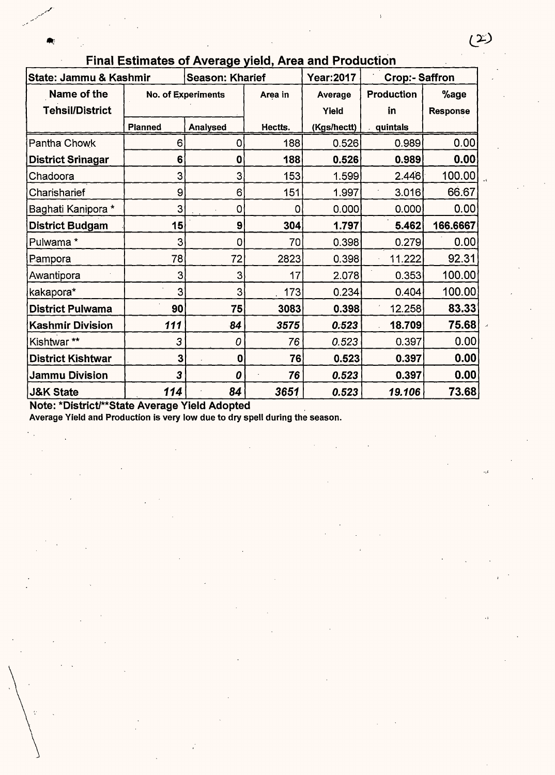| State: Jammu & Kashmir   |                | <b>Season: Kharief</b> |             | <b>Year:2017</b> | <b>Crop:- Saffron</b> |                 |
|--------------------------|----------------|------------------------|-------------|------------------|-----------------------|-----------------|
| Name of the              |                | No. of Experiments     | Area in     | Average          | Production            | %age            |
| <b>Tehsil/District</b>   |                |                        |             | Yield            | in                    | <b>Response</b> |
|                          | <b>Planned</b> | Analysed               | Hectts.     | (Kgs/hectt)      | quintals              |                 |
| Pantha Chowk             | 6              | 0                      | 188         | 0.526            | 0.989                 | 0.00            |
| <b>District Srinagar</b> | 6              | 0                      | 188         | 0.526            | 0.989                 | 0.00            |
| Chadoora                 | 3              | 3                      | 153         | 1.599            | 2.446                 | 100.00          |
| Charisharief             | 9              | 6                      | 151         | 1.997            | 3.016                 | 66.67           |
| Baghati Kanipora *       | 3              | 0                      | $\mathbf 0$ | 0.000            | 0.000                 | 0.00            |
| <b>District Budgam</b>   | 15             | 9                      | 304         | 1.797            | 5.462                 | 166.6667        |
| Pulwama*                 | 3              | 0                      | 70          | 0.398            | 0.279                 | 0.00            |
| Pampora                  | 78             | 72                     | 2823        | 0.398            | 11.222                | 92.31           |
| Awantipora               | 3              | 3                      | 17          | 2.078            | 0.353                 | 100.00          |
| kakapora*                | 3              | 3                      | 173         | 0.234            | 0.404                 | 100.00          |
| <b>District Pulwama</b>  | 90             | 75                     | 3083        | 0.398            | 12.258                | 83.33           |
| <b>Kashmir Division</b>  | 111            | 84                     | 3575        | 0.523            | 18.709                | 75.68           |
| Kishtwar**               | 3              | 0                      | 76          | 0.523            | 0.397                 | 0.00            |
| <b>District Kishtwar</b> | 3              | $\mathbf 0$            | 76          | 0.523            | 0.397                 | 0.00            |
| <b>Jammu Division</b>    | 3              | 0                      | 76          | 0.523            | 0.397                 | 0.00            |
| <b>J&amp;K State</b>     | 114            | 84                     | 3651        | 0.523            | 19.106                | 73.68           |

Final Estimates of Average yield, Area and Production

Note: \*District/\*\*State Average Yield Adopted

Average Yield and Production is very low due to dry spell during the season.